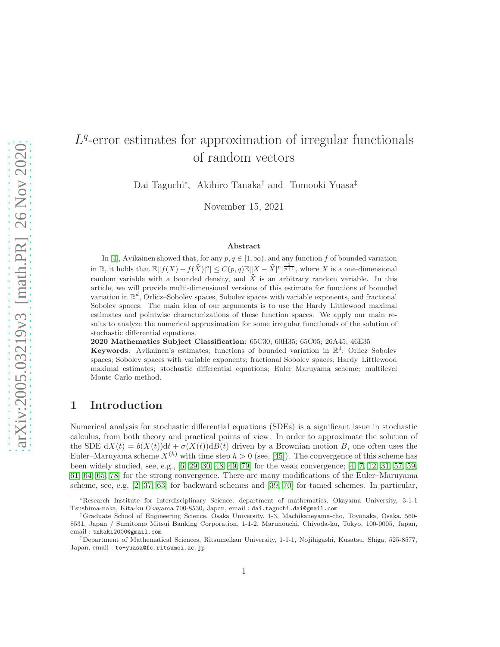# $L<sup>q</sup>$ -error estimates for approximation of irregular functionals of random vectors

Dai Taguchi<sup>∗</sup> , Akihiro Tanaka† and Tomooki Yuasa‡

November 15, 2021

#### Abstract

In [\[4\]](#page-28-0), Avikainen showed that, for any  $p, q \in [1, \infty)$ , and any function f of bounded variation in R, it holds that  $\mathbb{E}[|f(X) - f(\widehat{X})|^q] \leq C(p,q)\mathbb{E}[|X - \widehat{X}|^p]^{\frac{1}{p+1}}$ , where X is a one-dimensional random variable with a bounded density, and  $\hat{X}$  is an arbitrary random variable. In this article, we will provide multi-dimensional versions of this estimate for functions of bounded variation in  $\mathbb{R}^d$ , Orlicz–Sobolev spaces, Sobolev spaces with variable exponents, and fractional Sobolev spaces. The main idea of our arguments is to use the Hardy–Littlewood maximal estimates and pointwise characterizations of these function spaces. We apply our main results to analyze the numerical approximation for some irregular functionals of the solution of stochastic differential equations.

2020 Mathematics Subject Classification: 65C30; 60H35; 65C05; 26A45; 46E35

Keywords: Avikainen's estimates; functions of bounded variation in  $\mathbb{R}^d$ ; Orlicz-Sobolev spaces; Sobolev spaces with variable exponents; fractional Sobolev spaces; Hardy–Littlewood maximal estimates; stochastic differential equations; Euler–Maruyama scheme; multilevel Monte Carlo method.

# 1 Introduction

Numerical analysis for stochastic differential equations (SDEs) is a significant issue in stochastic calculus, from both theory and practical points of view. In order to approximate the solution of the SDE  $dX(t) = b(X(t))dt + \sigma(X(t))dB(t)$  driven by a Brownian motion B, one often uses the Euler–Maruyama scheme  $X^{(h)}$  with time step  $h > 0$  (see, [\[45\]](#page-30-0)). The convergence of this scheme has been widely studied, see, e.g., [\[6,](#page-28-1) [29,](#page-30-1) [30,](#page-30-2) [48,](#page-31-0) [49,](#page-31-1) [79\]](#page-32-0) for the weak convergence; [\[4,](#page-28-0) [7,](#page-28-2) [12,](#page-29-0) [31,](#page-30-3) [57,](#page-31-2) [59,](#page-31-3) [61,](#page-31-4) [64,](#page-32-1) [65,](#page-32-2) [78\]](#page-32-3) for the strong convergence. There are many modifications of the Euler–Maruyama scheme, see, e.g, [\[2,](#page-28-3) [37,](#page-30-4) [63\]](#page-32-4) for backward schemes and [\[39,](#page-30-5) [70\]](#page-32-5) for tamed schemes. In particular,

<sup>∗</sup>Research Institute for Interdisciplinary Science, department of mathematics, Okayama University, 3-1-1 Tsushima-naka, Kita-ku Okayama 700-8530, Japan, email : dai.taguchi.dai@gmail.com

<sup>†</sup>Graduate School of Engineering Science, Osaka University, 1-3, Machikaneyama-cho, Toyonaka, Osaka, 560- 8531, Japan / Sumitomo Mitsui Banking Corporation, 1-1-2, Marunouchi, Chiyoda-ku, Tokyo, 100-0005, Japan, email : tnkaki2000@gmail.com

<sup>‡</sup>Department of Mathematical Sciences, Ritsumeikan University, 1-1-1, Nojihigashi, Kusatsu, Shiga, 525-8577, Japan, email : to-yuasa@fc.ritsumei.ac.jp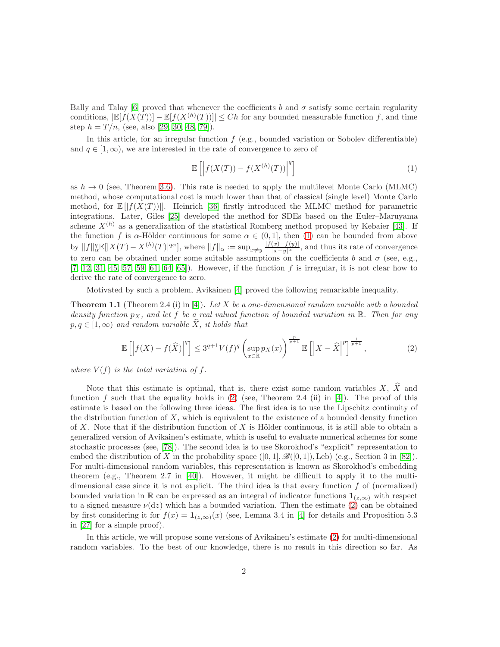Bally and Talay [\[6\]](#page-28-1) proved that whenever the coefficients b and  $\sigma$  satisfy some certain regularity conditions,  $\left| \mathbb{E}[f(X(T))] - \mathbb{E}[f(X^{(h)}(T))] \right| \leq Ch$  for any bounded measurable function f, and time step  $h = T/n$ , (see, also [\[29,](#page-30-1) [30,](#page-30-2) [48,](#page-31-0) [79\]](#page-32-0)).

In this article, for an irregular function  $f$  (e.g., bounded variation or Sobolev differentiable) and  $q \in [1,\infty)$ , we are interested in the rate of convergence to zero of

<span id="page-1-1"></span><span id="page-1-0"></span>
$$
\mathbb{E}\left[\left|f(X(T)) - f(X^{(h)}(T))\right|^q\right] \tag{1}
$$

as  $h \to 0$  (see, Theorem [3.6\)](#page-26-0). This rate is needed to apply the multilevel Monte Carlo (MLMC) method, whose computational cost is much lower than that of classical (single level) Monte Carlo method, for  $\mathbb{E}[|f(X(T))|]$ . Heinrich [\[36\]](#page-30-6) firstly introduced the MLMC method for parametric integrations. Later, Giles [\[25\]](#page-29-1) developed the method for SDEs based on the Euler–Maruyama scheme  $X^{(h)}$  as a generalization of the statistical Romberg method proposed by Kebaier [\[43\]](#page-30-7). If the function f is  $\alpha$ -Hölder continuous for some  $\alpha \in (0,1]$ , then [\(1\)](#page-1-0) can be bounded from above by  $||f||_{\alpha}^q \mathbb{E}[|X(T) - X^{(h)}(T)|^{q\alpha}],$  where  $||f||_{\alpha} := \sup_{x \neq y} \frac{|f(x) - f(y)|}{|x - y|^{\alpha}}$ , and thus its rate of convergence to zero can be obtained under some suitable assumptions on the coefficients b and  $\sigma$  (see, e.g.,  $[7, 12, 31, 45, 57, 59, 61, 64, 65]$  $[7, 12, 31, 45, 57, 59, 61, 64, 65]$  $[7, 12, 31, 45, 57, 59, 61, 64, 65]$  $[7, 12, 31, 45, 57, 59, 61, 64, 65]$  $[7, 12, 31, 45, 57, 59, 61, 64, 65]$  $[7, 12, 31, 45, 57, 59, 61, 64, 65]$  $[7, 12, 31, 45, 57, 59, 61, 64, 65]$  $[7, 12, 31, 45, 57, 59, 61, 64, 65]$  $[7, 12, 31, 45, 57, 59, 61, 64, 65]$ . However, if the function f is irregular, it is not clear how to derive the rate of convergence to zero.

Motivated by such a problem, Avikainen [\[4\]](#page-28-0) proved the following remarkable inequality.

**Theorem 1.1** (Theorem 2.4 (i) in [\[4\]](#page-28-0)). Let X be a one-dimensional random variable with a bounded density function  $p_X$ , and let f be a real valued function of bounded variation in  $\mathbb{R}$ . Then for any  $p, q \in [1, \infty)$  and random variable  $\hat{X}$ , it holds that

$$
\mathbb{E}\left[\left|f(X) - f(\widehat{X})\right|^q\right] \le 3^{q+1} V(f)^q \left(\sup_{x \in \mathbb{R}} p_X(x)\right)^{\frac{p}{p+1}} \mathbb{E}\left[\left|X - \widehat{X}\right|^p\right]^{\frac{1}{p+1}},\tag{2}
$$

where  $V(f)$  is the total variation of f.

Note that this estimate is optimal, that is, there exist some random variables X,  $\hat{X}$  and function  $f$  such that the equality holds in [\(2\)](#page-1-1) (see, Theorem 2.4 (ii) in [\[4\]](#page-28-0)). The proof of this estimate is based on the following three ideas. The first idea is to use the Lipschitz continuity of the distribution function of  $X$ , which is equivalent to the existence of a bounded density function of X. Note that if the distribution function of X is Hölder continuous, it is still able to obtain a generalized version of Avikainen's estimate, which is useful to evaluate numerical schemes for some stochastic processes (see, [\[78\]](#page-32-3)). The second idea is to use Skorokhod's "explicit" representation to embed the distribution of X in the probability space  $([0,1], \mathscr{B}([0,1]),$  Leb) (e.g., Section 3 in [\[82\]](#page-33-0)). For multi-dimensional random variables, this representation is known as Skorokhod's embedding theorem (e.g., Theorem 2.7 in [\[40\]](#page-30-8)). However, it might be difficult to apply it to the multidimensional case since it is not explicit. The third idea is that every function  $f$  of (normalized) bounded variation in R can be expressed as an integral of indicator functions  $1_{(z,\infty)}$  with respect to a signed measure  $\nu(\mathrm{d}z)$  which has a bounded variation. Then the estimate [\(2\)](#page-1-1) can be obtained by first considering it for  $f(x) = \mathbf{1}_{(z,\infty)}(x)$  (see, Lemma 3.4 in [\[4\]](#page-28-0) for details and Proposition 5.3 in [\[27\]](#page-29-2) for a simple proof).

In this article, we will propose some versions of Avikainen's estimate [\(2\)](#page-1-1) for multi-dimensional random variables. To the best of our knowledge, there is no result in this direction so far. As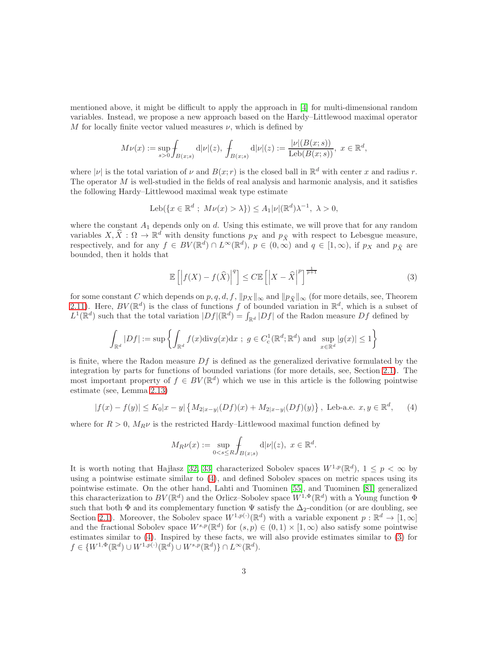mentioned above, it might be difficult to apply the approach in [\[4\]](#page-28-0) for multi-dimensional random variables. Instead, we propose a new approach based on the Hardy–Littlewood maximal operator M for locally finite vector valued measures  $\nu$ , which is defined by

$$
M\nu(x):=\sup_{s>0}\hskip-1.5ex\int_{B(x;s)}{\rm d}|\nu|(z),\,\int_{B(x;s)}{\rm d}|\nu|(z):=\frac{|\nu|(B(x;s))}{\mathop{\rm Leb}\nolimits(B(x;s))},\,\,x\in\mathbb{R}^d,
$$

where  $|\nu|$  is the total variation of  $\nu$  and  $B(x; r)$  is the closed ball in  $\mathbb{R}^d$  with center x and radius r. The operator  $M$  is well-studied in the fields of real analysis and harmonic analysis, and it satisfies the following Hardy–Littlewood maximal weak type estimate

$$
Leb({x \in \mathbb{R}^d \; ; \; M\nu(x) > \lambda}) \le A_1|\nu|(\mathbb{R}^d)\lambda^{-1}, \; \lambda > 0,
$$

where the constant  $A_1$  depends only on d. Using this estimate, we will prove that for any random variables  $X, \hat{X} : \Omega \to \mathbb{R}^d$  with density functions  $p_X$  and  $p_{\hat{X}}$  with respect to Lebesgue measure, respectively, and for any  $f \in BV(\mathbb{R}^d) \cap L^{\infty}(\mathbb{R}^d)$ ,  $p \in (0,\infty)$  and  $q \in [1,\infty)$ , if  $p_X$  and  $p_{\hat{X}}$  are bounded, then it holds that

<span id="page-2-1"></span>
$$
\mathbb{E}\left[\left|f(X) - f(\widehat{X})\right|^q\right] \le C \mathbb{E}\left[\left|X - \widehat{X}\right|^p\right]^{\frac{1}{p+1}}\tag{3}
$$

for some constant C which depends on p, q, d, f,  $||p_X||_{\infty}$  and  $||p_{\hat{X}}||_{\infty}$  (for more details, see, Theorem [2.11\)](#page-10-0). Here,  $BV(\mathbb{R}^d)$  is the class of functions f of bounded variation in  $\mathbb{R}^d$ , which is a subset of  $L^1(\mathbb{R}^d)$  such that the total variation  $|Df|(\mathbb{R}^d) = \int_{\mathbb{R}^d} |Df|$  of the Radon measure  $Df$  defined by

$$
\int_{\mathbb{R}^d} |Df| := \sup \left\{ \int_{\mathbb{R}^d} f(x) \mathrm{div} g(x) \mathrm{d} x \ ; \ g \in C^1_c(\mathbb{R}^d; \mathbb{R}^d) \text{ and } \sup_{x \in \mathbb{R}^d} |g(x)| \le 1 \right\}
$$

is finite, where the Radon measure  $Df$  is defined as the generalized derivative formulated by the integration by parts for functions of bounded variations (for more details, see, Section [2.1\)](#page-3-0). The most important property of  $f \in BV(\mathbb{R}^d)$  which we use in this article is the following pointwise estimate (see, Lemma [2.13\)](#page-11-0)

$$
|f(x) - f(y)| \le K_0 |x - y| \left\{ M_{2|x - y|}(Df)(x) + M_{2|x - y|}(Df)(y) \right\}, \text{ Leb-a.e. } x, y \in \mathbb{R}^d, \qquad (4)
$$

where for  $R > 0$ ,  $M_{R}\nu$  is the restricted Hardy–Littlewood maximal function defined by

<span id="page-2-0"></span>
$$
M_R \nu(x) := \sup_{0 < s \le R} \int_{B(x;s)} \mathrm{d} |\nu|(z), \ x \in \mathbb{R}^d.
$$

It is worth noting that Hajlasz [\[32,](#page-30-9) [33\]](#page-30-10) characterized Sobolev spaces  $W^{1,p}(\mathbb{R}^d)$ ,  $1 \leq p < \infty$  by using a pointwise estimate similar to [\(4\)](#page-2-0), and defined Sobolev spaces on metric spaces using its pointwise estimate. On the other hand, Lahti and Tuominen [\[55\]](#page-31-5), and Tuominen [\[81\]](#page-33-1) generalized this characterization to  $BV(\mathbb{R}^d)$  and the Orlicz–Sobolev space  $W^{1,\Phi}(\mathbb{R}^d)$  with a Young function  $\Phi$ such that both  $\Phi$  and its complementary function  $\Psi$  satisfy the  $\Delta_2$ -condition (or are doubling, see Section [2.1\)](#page-3-0). Moreover, the Sobolev space  $W^{1,p(\cdot)}(\mathbb{R}^d)$  with a variable exponent  $p : \mathbb{R}^d \to [1,\infty]$ and the fractional Sobolev space  $W^{s,p}(\mathbb{R}^d)$  for  $(s, p) \in (0, 1) \times [1, \infty)$  also satisfy some pointwise estimates similar to [\(4\)](#page-2-0). Inspired by these facts, we will also provide estimates similar to [\(3\)](#page-2-1) for  $f \in \{W^{1,\Phi}(\mathbb{R}^d) \cup W^{1,p(\cdot)}(\mathbb{R}^d) \cup W^{s,p}(\mathbb{R}^d)\} \cap L^{\infty}(\mathbb{R}^d).$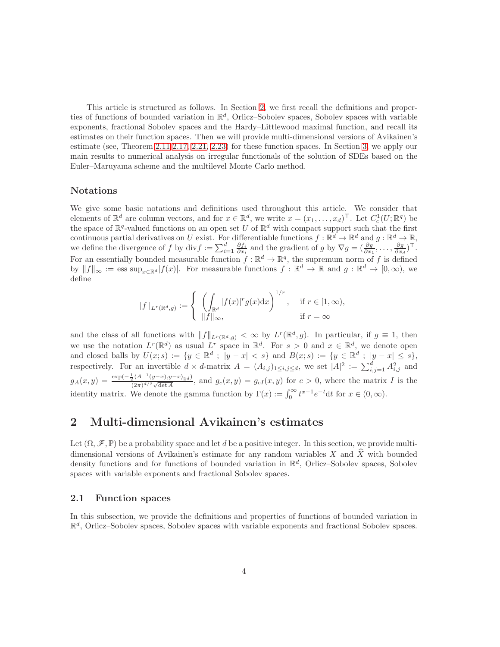This article is structured as follows. In Section [2,](#page-3-1) we first recall the definitions and properties of functions of bounded variation in  $\mathbb{R}^d$ , Orlicz–Sobolev spaces, Sobolev spaces with variable exponents, fractional Sobolev spaces and the Hardy–Littlewood maximal function, and recall its estimates on their function spaces. Then we will provide multi-dimensional versions of Avikainen's estimate (see, Theorem [2.11](#page-10-0) [2.17,](#page-15-0) [2.21,](#page-18-0) [2.23\)](#page-19-0) for these function spaces. In Section [3,](#page-22-0) we apply our main results to numerical analysis on irregular functionals of the solution of SDEs based on the Euler–Maruyama scheme and the multilevel Monte Carlo method.

#### Notations

We give some basic notations and definitions used throughout this article. We consider that elements of  $\mathbb{R}^d$  are column vectors, and for  $x \in \mathbb{R}^d$ , we write  $x = (x_1, \ldots, x_d)^\top$ . Let  $C_c^1(U; \mathbb{R}^q)$  be the space of  $\mathbb{R}^q$ -valued functions on an open set U of  $\mathbb{R}^d$  with compact support such that the first continuous partial derivatives on U exist. For differentiable functions  $f : \mathbb{R}^d \to \mathbb{R}^d$  and  $g : \mathbb{R}^d \to \mathbb{R}$ we define the divergence of f by  $\text{div} f := \sum_{i=1}^d \frac{\partial f_i}{\partial x_i}$  and the gradient of g by  $\nabla g = (\frac{\partial g}{\partial x_1}, \dots, \frac{\partial g}{\partial x_d})^\top$ . For an essentially bounded measurable function  $f : \mathbb{R}^d \to \mathbb{R}^q$ , the supremum norm of f is defined by  $||f||_{\infty} := \text{ess sup}_{x \in \mathbb{R}^d} |f(x)|$ . For measurable functions  $f : \mathbb{R}^d \to \mathbb{R}$  and  $g : \mathbb{R}^d \to [0, \infty)$ , we define

$$
||f||_{L^r(\mathbb{R}^d,g)} := \begin{cases} \left( \int_{\mathbb{R}^d} |f(x)|^r g(x) dx \right)^{1/r}, & \text{if } r \in [1, \infty), \\ ||f||_{\infty}, & \text{if } r = \infty \end{cases}
$$

and the class of all functions with  $||f||_{L^r(\mathbb{R}^d,g)} < \infty$  by  $L^r(\mathbb{R}^d,g)$ . In particular, if  $g \equiv 1$ , then we use the notation  $L^r(\mathbb{R}^d)$  as usual  $L^r$  space in  $\mathbb{R}^d$ . For  $s > 0$  and  $x \in \mathbb{R}^d$ , we denote open and closed balls by  $U(x; s) := \{y \in \mathbb{R}^d : |y - x| < s\}$  and  $B(x; s) := \{y \in \mathbb{R}^d : |y - x| \leq s\},\$ respectively. For an invertible  $d \times d$ -matrix  $A = (A_{i,j})_{1 \leq i,j \leq d}$ , we set  $|A|^2 := \sum_{i,j=1}^d A_{i,j}^2$  and  $g_A(x,y) = \frac{\exp(-\frac{1}{2}\langle A^{-1}(y-x), y-x\rangle_{\mathbb{R}^d})}{(2\pi)^{d/2}\sqrt{\det A}}$  $\frac{g(x)}{(2\pi)^{d/2}\sqrt{\det A}}$ , and  $g_c(x, y) = g_{cI}(x, y)$  for  $c > 0$ , where the matrix I is the identity matrix. We denote the gamma function by  $\Gamma(x) := \int_0^\infty t^{x-1} e^{-t} dt$  for  $x \in (0, \infty)$ .

# <span id="page-3-1"></span>2 Multi-dimensional Avikainen's estimates

Let  $(\Omega, \mathscr{F}, \mathbb{P})$  be a probability space and let d be a positive integer. In this section, we provide multidimensional versions of Avikainen's estimate for any random variables X and  $\hat{X}$  with bounded density functions and for functions of bounded variation in  $\mathbb{R}^d$ , Orlicz–Sobolev spaces, Sobolev spaces with variable exponents and fractional Sobolev spaces.

#### <span id="page-3-0"></span>2.1 Function spaces

In this subsection, we provide the definitions and properties of functions of bounded variation in  $\mathbb{R}^d$ , Orlicz–Sobolev spaces, Sobolev spaces with variable exponents and fractional Sobolev spaces.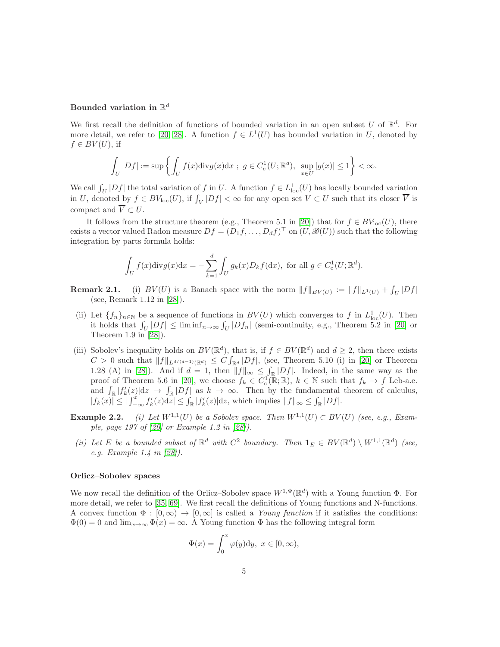## Bounded variation in  $\mathbb{R}^d$

We first recall the definition of functions of bounded variation in an open subset U of  $\mathbb{R}^d$ . For more detail, we refer to [\[20,](#page-29-3) [28\]](#page-30-11). A function  $f \in L^1(U)$  has bounded variation in U, denoted by  $f \in BV(U)$ , if

$$
\int_U |Df| := \sup \left\{ \int_U f(x) \mathrm{div} g(x) \mathrm{d} x \ ; \ g \in C^1_c(U; \mathbb{R}^d), \ \sup_{x \in U} |g(x)| \le 1 \right\} < \infty.
$$

We call  $\int_U |Df|$  the total variation of f in U. A function  $f \in L^1_{loc}(U)$  has locally bounded variation in U, denoted by  $f \in BV_{loc}(U)$ , if  $\int_V |Df| < \infty$  for any open set  $V \subset U$  such that its closer  $\overline{V}$  is compact and  $\overline{V} \subset U$ .

It follows from the structure theorem (e.g., Theorem 5.1 in [\[20\]](#page-29-3)) that for  $f \in BV_{loc}(U)$ , there exists a vector valued Radon measure  $Df = (D_1f, \ldots, D_df)^\top$  on  $(U, \mathscr{B}(U))$  such that the following integration by parts formula holds:

$$
\int_U f(x) \operatorname{div} g(x) \mathrm{d}x = -\sum_{k=1}^d \int_U g_k(x) D_k f(\mathrm{d}x), \text{ for all } g \in C^1_c(U; \mathbb{R}^d).
$$

**Remark 2.1.** (i)  $BV(U)$  is a Banach space with the norm  $||f||_{BV(U)} := ||f||_{L^1(U)} + \int_U |Df||$ (see, Remark 1.12 in [\[28\]](#page-30-11)).

- (ii) Let  $\{f_n\}_{n\in\mathbb{N}}$  be a sequence of functions in  $BV(U)$  which converges to f in  $L^1_{loc}(U)$ . Then it holds that  $\int_U |Df| \leq \liminf_{n \to \infty} \int_U |Df_n|$  (semi-continuity, e.g., Theorem 5.2 in [\[20\]](#page-29-3) or Theorem 1.9 in [\[28\]](#page-30-11)).
- (iii) Sobolev's inequality holds on  $BV(\mathbb{R}^d)$ , that is, if  $f \in BV(\mathbb{R}^d)$  and  $d \geq 2$ , then there exists  $C > 0$  such that  $||f||_{L^{d/(d-1)}(\mathbb{R}^d)} \leq C \int_{\mathbb{R}^d} |Df|$ , (see, Theorem 5.10 (i) in [\[20\]](#page-29-3) or Theorem 1.28 (A) in [\[28\]](#page-30-11)). And if  $d = 1$ , then  $||f||_{\infty} \leq \int_{\mathbb{R}} |Df|$ . Indeed, in the same way as the proof of Theorem 5.6 in [\[20\]](#page-29-3), we choose  $f_k \in C_c^1(\mathbb{R}; \mathbb{R})$ ,  $k \in \mathbb{N}$  such that  $f_k \to f$  Leb-a.e. and  $\int_{\mathbb{R}} |f'_k(z)| dz \to \int_{\mathbb{R}} |Df|$  as  $k \to \infty$ . Then by the fundamental theorem of calculus,  $|f_k(x)| \leq |\int_{-\infty}^x f'_k(z)dz| \leq \int_{\mathbb{R}} |f'_k(z)|dz$ , which implies  $||f||_{\infty} \leq \int_{\mathbb{R}} |Df|$ .
- **Example 2.2.** (i) Let  $W^{1,1}(U)$  be a Sobolev space. Then  $W^{1,1}(U) \subset BV(U)$  (see, e.g., Example, page 197 of [\[20\]](#page-29-3) or Example 1.2 in [\[28\]](#page-30-11)).
- (ii) Let E be a bounded subset of  $\mathbb{R}^d$  with  $C^2$  boundary. Then  $\mathbf{1}_E \in BV(\mathbb{R}^d) \setminus W^{1,1}(\mathbb{R}^d)$  (see, e.g. Example 1.4 in [\[28\]](#page-30-11)).

#### Orlicz–Sobolev spaces

We now recall the definition of the Orlicz–Sobolev space  $W^{1,\Phi}(\mathbb{R}^d)$  with a Young function  $\Phi$ . For more detail, we refer to [\[35,](#page-30-12) [69\]](#page-32-6). We first recall the definitions of Young functions and N-functions. A convex function  $\Phi : [0, \infty) \to [0, \infty]$  is called a Young function if it satisfies the conditions:  $\Phi(0) = 0$  and  $\lim_{x\to\infty} \Phi(x) = \infty$ . A Young function  $\Phi$  has the following integral form

$$
\Phi(x)=\int_0^x\varphi(y){\mathrm d}y,\ x\in[0,\infty),
$$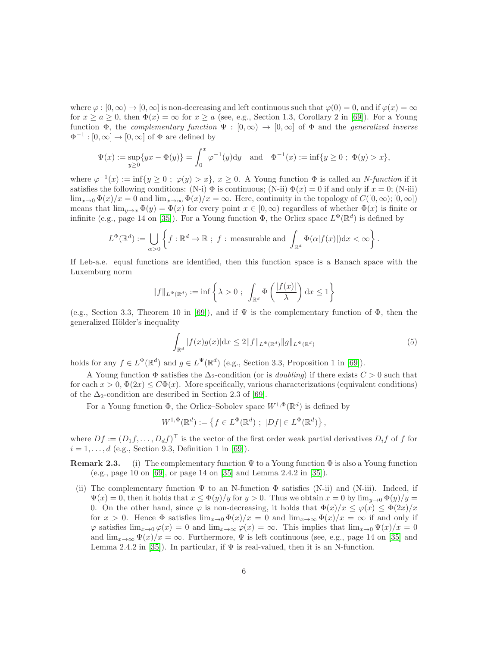where  $\varphi : [0, \infty) \to [0, \infty]$  is non-decreasing and left continuous such that  $\varphi(0) = 0$ , and if  $\varphi(x) = \infty$ for  $x \ge a \ge 0$ , then  $\Phi(x) = \infty$  for  $x \ge a$  (see, e.g., Section 1.3, Corollary 2 in [\[69\]](#page-32-6)). For a Young function  $\Phi$ , the *complementary function*  $\Psi : [0, \infty) \to [0, \infty]$  of  $\Phi$  and the *generalized inverse*  $\Phi^{-1} : [0, \infty] \to [0, \infty]$  of  $\Phi$  are defined by

$$
\Psi(x):=\sup_{y\geq 0}\{yx-\Phi(y)\}=\int_0^x\varphi^{-1}(y){\rm d}y\quad\text{and}\quad \Phi^{-1}(x):=\inf\{y\geq 0\ ;\ \Phi(y)>x\},
$$

where  $\varphi^{-1}(x) := \inf\{y \geq 0; \varphi(y) > x\}, x \geq 0$ . A Young function  $\Phi$  is called an *N*-function if it satisfies the following conditions: (N-i)  $\Phi$  is continuous; (N-ii)  $\Phi(x) = 0$  if and only if  $x = 0$ ; (N-iii)  $\lim_{x\to 0} \Phi(x)/x = 0$  and  $\lim_{x\to \infty} \Phi(x)/x = \infty$ . Here, continuity in the topology of  $C([0,\infty);[0,\infty])$ means that  $\lim_{y\to x} \Phi(y) = \Phi(x)$  for every point  $x \in [0,\infty)$  regardless of whether  $\Phi(x)$  is finite or infinite (e.g., page 14 on [\[35\]](#page-30-12)). For a Young function  $\Phi$ , the Orlicz space  $L^{\Phi}(\mathbb{R}^d)$  is defined by

$$
L^{\Phi}(\mathbb{R}^d) := \bigcup_{\alpha>0} \left\{ f : \mathbb{R}^d \to \mathbb{R} \; ; \; f : \text{measurable and } \int_{\mathbb{R}^d} \Phi(\alpha | f(x)|) \mathrm{d}x < \infty \right\}.
$$

If Leb-a.e. equal functions are identified, then this function space is a Banach space with the Luxemburg norm

$$
||f||_{L^{\Phi}(\mathbb{R}^d)} := \inf \left\{ \lambda > 0 \; ; \; \int_{\mathbb{R}^d} \Phi \left( \frac{|f(x)|}{\lambda} \right) dx \le 1 \right\}
$$

(e.g., Section 3.3, Theorem 10 in [\[69\]](#page-32-6)), and if  $\Psi$  is the complementary function of  $\Phi$ , then the generalized Hölder's inequality

<span id="page-5-0"></span>
$$
\int_{\mathbb{R}^d} |f(x)g(x)| dx \le 2||f||_{L^{\Phi}(\mathbb{R}^d)} ||g||_{L^{\Psi}(\mathbb{R}^d)}
$$
(5)

holds for any  $f \in L^{\Phi}(\mathbb{R}^d)$  and  $g \in L^{\Psi}(\mathbb{R}^d)$  (e.g., Section 3.3, Proposition 1 in [\[69\]](#page-32-6)).

A Young function  $\Phi$  satisfies the  $\Delta_2$ -condition (or is *doubling*) if there exists  $C > 0$  such that for each  $x > 0$ ,  $\Phi(2x) \leq C\Phi(x)$ . More specifically, various characterizations (equivalent conditions) of the  $\Delta_2$ -condition are described in Section 2.3 of [\[69\]](#page-32-6).

For a Young function  $\Phi$ , the Orlicz–Sobolev space  $W^{1,\Phi}(\mathbb{R}^d)$  is defined by

$$
W^{1,\Phi}(\mathbb{R}^d) := \{ f \in L^{\Phi}(\mathbb{R}^d) ; \ |Df| \in L^{\Phi}(\mathbb{R}^d) \},
$$

where  $Df := (D_1f, \ldots, D_df)^{\perp}$  is the vector of the first order weak partial derivatives  $D_i f$  of f for  $i = 1, \ldots, d$  (e.g., Section 9.3, Definition 1 in [\[69\]](#page-32-6)).

**Remark 2.3.** (i) The complementary function  $\Psi$  to a Young function  $\Phi$  is also a Young function (e.g., page 10 on [\[69\]](#page-32-6), or page 14 on [\[35\]](#page-30-12) and Lemma 2.4.2 in [\[35\]](#page-30-12)).

(ii) The complementary function  $\Psi$  to an N-function  $\Phi$  satisfies (N-ii) and (N-iii). Indeed, if  $\Psi(x) = 0$ , then it holds that  $x \leq \Phi(y)/y$  for  $y > 0$ . Thus we obtain  $x = 0$  by  $\lim_{y \to 0} \Phi(y)/y = 0$ . 0. On the other hand, since  $\varphi$  is non-decreasing, it holds that  $\Phi(x)/x \leq \varphi(x) \leq \Phi(2x)/x$ for  $x > 0$ . Hence  $\Phi$  satisfies  $\lim_{x\to 0} \Phi(x)/x = 0$  and  $\lim_{x\to \infty} \Phi(x)/x = \infty$  if and only if  $\varphi$  satisfies  $\lim_{x\to 0} \varphi(x) = 0$  and  $\lim_{x\to \infty} \varphi(x) = \infty$ . This implies that  $\lim_{x\to 0} \Psi(x)/x = 0$ and  $\lim_{x\to\infty}\Psi(x)/x=\infty$ . Furthermore,  $\Psi$  is left continuous (see, e.g., page 14 on [\[35\]](#page-30-12) and Lemma 2.4.2 in [\[35\]](#page-30-12)). In particular, if  $\Psi$  is real-valued, then it is an N-function.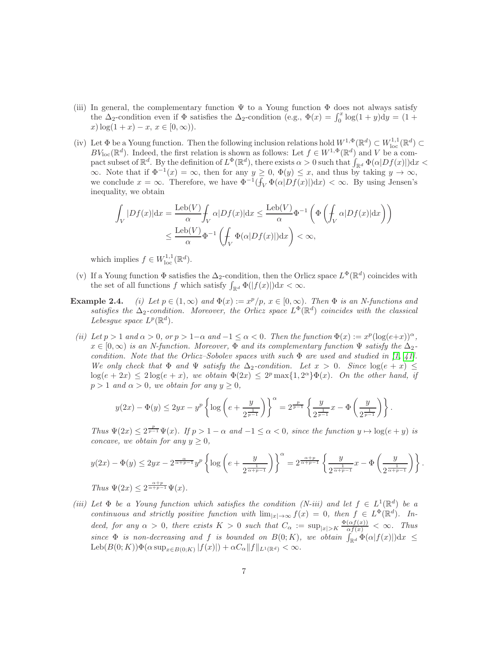- (iii) In general, the complementary function  $\Psi$  to a Young function  $\Phi$  does not always satisfy the  $\Delta_2$ -condition even if  $\Phi$  satisfies the  $\Delta_2$ -condition (e.g.,  $\Phi(x) = \int_0^x \log(1+y) dy = (1 +$  $x) \log(1 + x) - x, x \in [0, \infty)$ .
- (iv) Let  $\Phi$  be a Young function. Then the following inclusion relations hold  $W^{1,\Phi}(\mathbb{R}^d) \subset W^{1,1}_{\text{loc}}(\mathbb{R}^d) \subset \mathbb{R}$  $BV_{\text{loc}}(\mathbb{R}^d)$ . Indeed, the first relation is shown as follows: Let  $f \in W^{1,\Phi}(\mathbb{R}^d)$  and V be a compact subset of  $\mathbb{R}^d$ . By the definition of  $L^{\Phi}(\mathbb{R}^d)$ , there exists  $\alpha > 0$  such that  $\int_{\mathbb{R}^d} \Phi(\alpha|Df(x)|) dx <$  $\infty$ . Note that if  $\Phi^{-1}(x) = \infty$ , then for any  $y \geq 0$ ,  $\Phi(y) \leq x$ , and thus by taking  $y \to \infty$ , we conclude  $x = \infty$ . Therefore, we have  $\Phi^{-1}(f_V \Phi(\alpha|Df(x)))dx < \infty$ . By using Jensen's inequality, we obtain

$$
\int_{V} |Df(x)| dx = \frac{\text{Leb}(V)}{\alpha} \int_{V} \alpha |Df(x)| dx \le \frac{\text{Leb}(V)}{\alpha} \Phi^{-1} \left( \Phi \left( \int_{V} \alpha |Df(x)| dx \right) \right)
$$
  

$$
\le \frac{\text{Leb}(V)}{\alpha} \Phi^{-1} \left( \int_{V} \Phi(\alpha |Df(x)|) dx \right) < \infty,
$$

which implies  $f \in W^{1,1}_{loc}(\mathbb{R}^d)$ .

- (v) If a Young function  $\Phi$  satisfies the  $\Delta_2$ -condition, then the Orlicz space  $L^{\Phi}(\mathbb{R}^d)$  coincides with the set of all functions f which satisfy  $\int_{\mathbb{R}^d} \Phi(|f(x)|) dx < \infty$ .
- **Example 2.4.** (i) Let  $p \in (1,\infty)$  and  $\Phi(x) := x^p/p$ ,  $x \in [0,\infty)$ . Then  $\Phi$  is an N-functions and satisfies the  $\Delta_2$ -condition. Moreover, the Orlicz space  $L^{\Phi}(\mathbb{R}^d)$  coincides with the classical Lebesgue space  $L^p(\mathbb{R}^d)$ .
- (ii) Let  $p > 1$  and  $\alpha > 0$ , or  $p > 1-\alpha$  and  $-1 \leq \alpha < 0$ . Then the function  $\Phi(x) := x^p (\log(e+x))^{\alpha}$ ,  $x \in [0,\infty)$  is an N-function. Moreover,  $\Phi$  and its complementary function  $\Psi$  satisfy the  $\Delta_2$ condition. Note that the Orlicz–Sobolev spaces with such  $\Phi$  are used and studied in [\[1,](#page-28-4) [41\]](#page-30-13). We only check that  $\Phi$  and  $\Psi$  satisfy the  $\Delta_2$ -condition. Let  $x > 0$ . Since  $\log(e + x) \leq$  $log(e + 2x) \leq 2 log(e + x)$ , we obtain  $\Phi(2x) \leq 2^p max\{1, 2^{\alpha}\}\Phi(x)$ . On the other hand, if  $p > 1$  and  $\alpha > 0$ , we obtain for any  $y \geq 0$ ,

$$
y(2x) - \Phi(y) \le 2yx - y^p \left\{ \log \left( e + \frac{y}{2^{\frac{1}{p-1}}} \right) \right\}^{\alpha} = 2^{\frac{p}{p-1}} \left\{ \frac{y}{2^{\frac{1}{p-1}}} x - \Phi \left( \frac{y}{2^{\frac{1}{p-1}}} \right) \right\}.
$$

Thus  $\Psi(2x) \leq 2^{\frac{p}{p-1}} \Psi(x)$ . If  $p > 1 - \alpha$  and  $-1 \leq \alpha < 0$ , since the function  $y \mapsto \log(e + y)$  is concave, we obtain for any  $y \geq 0$ ,

$$
y(2x) - \Phi(y) \le 2yx - 2^{\frac{\alpha}{\alpha+p-1}}y^p \left\{ \log \left( e + \frac{y}{2^{\frac{1}{\alpha+p-1}}} \right) \right\}^{\alpha} = 2^{\frac{\alpha+p}{\alpha+p-1}} \left\{ \frac{y}{2^{\frac{1}{\alpha+p-1}}} x - \Phi\left( \frac{y}{2^{\frac{1}{\alpha+p-1}}} \right) \right\}.
$$

Thus  $\Psi(2x) \leq 2^{\frac{\alpha+p}{\alpha+p-1}} \Psi(x)$ .

(iii) Let  $\Phi$  be a Young function which satisfies the condition (N-iii) and let  $f \in L^1(\mathbb{R}^d)$  be a continuous and strictly positive function with  $\lim_{|x|\to\infty} f(x) = 0$ , then  $f \in L^{\Phi}(\mathbb{R}^d)$ . Indeed, for any  $\alpha > 0$ , there exists  $K > 0$  such that  $C_{\alpha} := \sup_{|x| > K} \frac{\Phi(\alpha f(x))}{\alpha f(x)} < \infty$ . Thus since  $\Phi$  is non-decreasing and f is bounded on  $B(0; K)$ , we obtain  $\int_{\mathbb{R}^d} \Phi(\alpha|f(x)|) dx \le$ Leb $(B(0; K))\Phi(\alpha \sup_{x \in B(0; K)} |f(x)|) + \alpha C_{\alpha} ||f||_{L^{1}(\mathbb{R}^{d})} < \infty.$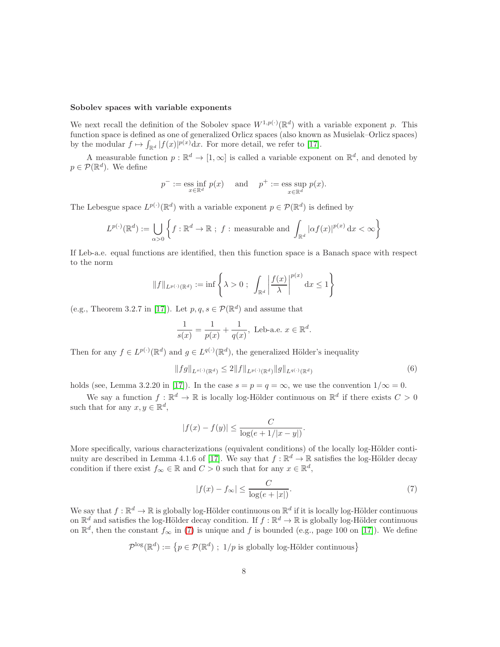#### Sobolev spaces with variable exponents

We next recall the definition of the Sobolev space  $W^{1,p(\cdot)}(\mathbb{R}^d)$  with a variable exponent p. This function space is defined as one of generalized Orlicz spaces (also known as Musielak–Orlicz spaces) by the modular  $f \mapsto \int_{\mathbb{R}^d} |f(x)|^{p(x)} dx$ . For more detail, we refer to [\[17\]](#page-29-4).

A measurable function  $p : \mathbb{R}^d \to [1, \infty]$  is called a variable exponent on  $\mathbb{R}^d$ , and denoted by  $p \in \mathcal{P}(\mathbb{R}^d)$ . We define

$$
p^- := \underset{x \in \mathbb{R}^d}{\text{ess inf }} p(x)
$$
 and  $p^+ := \underset{x \in \mathbb{R}^d}{\text{ess sup }} p(x)$ .

The Lebesgue space  $L^{p(\cdot)}(\mathbb{R}^d)$  with a variable exponent  $p \in \mathcal{P}(\mathbb{R}^d)$  is defined by

$$
L^{p(\cdot)}(\mathbb{R}^d) := \bigcup_{\alpha>0} \left\{ f : \mathbb{R}^d \to \mathbb{R} \; ; \; f : \text{measurable and } \int_{\mathbb{R}^d} |\alpha f(x)|^{p(x)} dx < \infty \right\}
$$

If Leb-a.e. equal functions are identified, then this function space is a Banach space with respect to the norm

$$
||f||_{L^{p(\cdot)}(\mathbb{R}^d)} := \inf \left\{ \lambda > 0 \; ; \; \int_{\mathbb{R}^d} \left| \frac{f(x)}{\lambda} \right|^{p(x)} dx \le 1 \right\}
$$

(e.g., Theorem 3.2.7 in [\[17\]](#page-29-4)). Let  $p, q, s \in \mathcal{P}(\mathbb{R}^d)$  and assume that

$$
\frac{1}{s(x)} = \frac{1}{p(x)} + \frac{1}{q(x)},
$$
 Leb-a.e.  $x \in \mathbb{R}^d$ .

Then for any  $f \in L^{p(\cdot)}(\mathbb{R}^d)$  and  $g \in L^{q(\cdot)}(\mathbb{R}^d)$ , the generalized Hölder's inequality

$$
||fg||_{L^{s(\cdot)}(\mathbb{R}^d)} \le 2||f||_{L^{p(\cdot)}(\mathbb{R}^d)}||g||_{L^{q(\cdot)}(\mathbb{R}^d)}
$$
(6)

holds (see, Lemma 3.2.20 in [\[17\]](#page-29-4)). In the case  $s = p = q = \infty$ , we use the convention  $1/\infty = 0$ .

We say a function  $f: \mathbb{R}^d \to \mathbb{R}$  is locally log-Hölder continuous on  $\mathbb{R}^d$  if there exists  $C > 0$ such that for any  $x, y \in \mathbb{R}^d$ ,

<span id="page-7-1"></span>
$$
|f(x) - f(y)| \le \frac{C}{\log(e + 1/|x - y|)}.
$$

More specifically, various characterizations (equivalent conditions) of the locally log-Hölder conti-nuity are described in Lemma 4.1.6 of [\[17\]](#page-29-4). We say that  $f : \mathbb{R}^d \to \mathbb{R}$  satisfies the log-Hölder decay condition if there exist  $f_{\infty} \in \mathbb{R}$  and  $C > 0$  such that for any  $x \in \mathbb{R}^d$ ,

<span id="page-7-0"></span>
$$
|f(x) - f_{\infty}| \le \frac{C}{\log(e + |x|)}.\tag{7}
$$

We say that  $f : \mathbb{R}^d \to \mathbb{R}$  is globally log-Hölder continuous on  $\mathbb{R}^d$  if it is locally log-Hölder continuous on  $\mathbb{R}^d$  and satisfies the log-Hölder decay condition. If  $f : \mathbb{R}^d \to \mathbb{R}$  is globally log-Hölder continuous on  $\mathbb{R}^d$ , then the constant  $f_{\infty}$  in [\(7\)](#page-7-0) is unique and f is bounded (e.g., page 100 on [\[17\]](#page-29-4)). We define

 $\mathcal{P}^{\log}(\mathbb{R}^d) := \{ p \in \mathcal{P}(\mathbb{R}^d) \; ; \; 1/p \text{ is globally log-Hölder continuous} \}$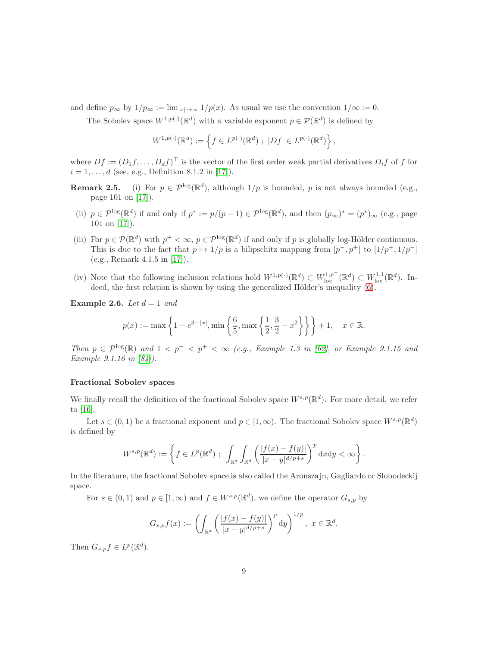and define  $p_{\infty}$  by  $1/p_{\infty} := \lim_{|x| \to \infty} 1/p(x)$ . As usual we use the convention  $1/\infty := 0$ .

The Sobolev space  $W^{1,p(\cdot)}(\mathbb{R}^d)$  with a variable exponent  $p \in \mathcal{P}(\mathbb{R}^d)$  is defined by

$$
W^{1,p(\cdot)}(\mathbb{R}^d) := \left\{ f \in L^{p(\cdot)}(\mathbb{R}^d) ; \ |Df| \in L^{p(\cdot)}(\mathbb{R}^d) \right\},\
$$

where  $Df := (D_1f, \ldots, D_df)^{\perp}$  is the vector of the first order weak partial derivatives  $D_i f$  of f for  $i = 1, \ldots, d$  (see, e.g., Definition 8.1.2 in [\[17\]](#page-29-4)).

- **Remark 2.5.** (i) For  $p \in \mathcal{P}^{\log}(\mathbb{R}^d)$ , although  $1/p$  is bounded, p is not always bounded (e.g., page 101 on [\[17\]](#page-29-4)).
- (ii)  $p \in \mathcal{P}^{\log}(\mathbb{R}^d)$  if and only if  $p^* := p/(p-1) \in \mathcal{P}^{\log}(\mathbb{R}^d)$ , and then  $(p_\infty)^* = (p^*)_\infty$  (e.g., page 101 on [\[17\]](#page-29-4)).
- (iii) For  $p \in \mathcal{P}(\mathbb{R}^d)$  with  $p^+ < \infty$ ,  $p \in \mathcal{P}^{\log}(\mathbb{R}^d)$  if and only if p is globally log-Hölder continuous. This is due to the fact that  $p \mapsto 1/p$  is a bilipschitz mapping from  $[p^-, p^+]$  to  $[1/p^+, 1/p^-]$ (e.g., Remark 4.1.5 in [\[17\]](#page-29-4)).
- (iv) Note that the following inclusion relations hold  $W^{1,p(\cdot)}(\mathbb{R}^d) \subset W^{1,p^-}_{loc}(\mathbb{R}^d) \subset W^{1,1}_{loc}(\mathbb{R}^d)$ . Indeed, the first relation is shown by using the generalized Hölder's inequality  $(6)$ .

Example 2.6. Let  $d = 1$  and

$$
p(x) := \max\left\{1 - e^{3-|x|}, \min\left\{\frac{6}{5}, \max\left\{\frac{1}{2}, \frac{3}{2} - x^2\right\}\right\}\right\} + 1, \quad x \in \mathbb{R}.
$$

Then  $p \in \mathcal{P}^{\log}(\mathbb{R})$  and  $1 < p^- < p^+ < \infty$  (e.g., Example 1.3 in [\[62\]](#page-32-7), or Example 9.1.15 and Example 9.1.16 in [\[84\]](#page-33-2)).

#### Fractional Sobolev spaces

We finally recall the definition of the fractional Sobolev space  $W^{s,p}(\mathbb{R}^d)$ . For more detail, we refer to [\[16\]](#page-29-5).

Let  $s \in (0,1)$  be a fractional exponent and  $p \in [1,\infty)$ . The fractional Sobolev space  $W^{s,p}(\mathbb{R}^d)$ is defined by

$$
W^{s,p}(\mathbb{R}^d) := \left\{ f \in L^p(\mathbb{R}^d) \; ; \; \int_{\mathbb{R}^d} \int_{\mathbb{R}^d} \left( \frac{|f(x) - f(y)|}{|x - y|^{d/p + s}} \right)^p dxdy < \infty \right\}.
$$

In the literature, the fractional Sobolev space is also called the Aronszajn, Gagliardo or Slobodeckij space.

For  $s \in (0,1)$  and  $p \in [1,\infty)$  and  $f \in W^{s,p}(\mathbb{R}^d)$ , we define the operator  $G_{s,p}$  by

$$
G_{s,p}f(x) := \left(\int_{\mathbb{R}^d} \left(\frac{|f(x) - f(y)|}{|x - y|^{d/p + s}}\right)^p dy\right)^{1/p}, \ x \in \mathbb{R}^d.
$$

Then  $G_{s,p} f \in L^p(\mathbb{R}^d)$ .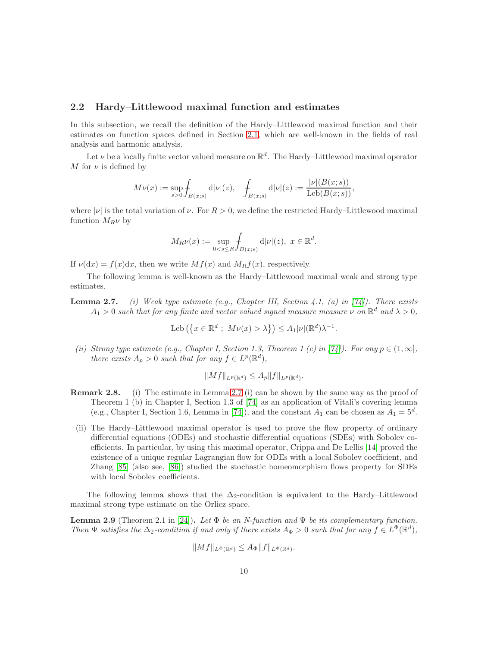#### 2.2 Hardy–Littlewood maximal function and estimates

In this subsection, we recall the definition of the Hardy–Littlewood maximal function and their estimates on function spaces defined in Section [2.1,](#page-3-0) which are well-known in the fields of real analysis and harmonic analysis.

Let  $\nu$  be a locally finite vector valued measure on  $\mathbb{R}^d$ . The Hardy-Littlewood maximal operator M for  $\nu$  is defined by

$$
M\nu(x):=\sup_{s>0}\!\int_{B(x;s)}{\rm d}|\nu|(z),\quad \int_{B(x;s)}{\rm d}|\nu|(z):=\frac{|\nu|(B(x;s))}{\text{Leb}(B(x;s))},
$$

where  $|\nu|$  is the total variation of  $\nu$ . For  $R > 0$ , we define the restricted Hardy–Littlewood maximal function  $M_R \nu$  by

$$
M_R\nu(x) := \sup_{0 < s \le R} \int_{B(x;s)} \mathrm{d}|\nu|(z), \ x \in \mathbb{R}^d.
$$

If  $\nu(\mathrm{d}x) = f(x)\mathrm{d}x$ , then we write  $Mf(x)$  and  $M_Rf(x)$ , respectively.

The following lemma is well-known as the Hardy–Littlewood maximal weak and strong type estimates.

**Lemma 2.7.** (i) Weak type estimate (e.g., Chapter III, Section 4.1, (a) in [\[74\]](#page-32-8)). There exists  $A_1 > 0$  such that for any finite and vector valued signed measure measure  $\nu$  on  $\mathbb{R}^d$  and  $\lambda > 0$ ,

Leb 
$$
(\{x \in \mathbb{R}^d : M\nu(x) > \lambda\}) \le A_1 |\nu| (\mathbb{R}^d) \lambda^{-1}.
$$

(ii) Strong type estimate (e.g., Chapter I, Section 1.3, Theorem 1 (c) in [\[74\]](#page-32-8)). For any  $p \in (1,\infty)$ , there exists  $A_p > 0$  such that for any  $f \in L^p(\mathbb{R}^d)$ ,

$$
||Mf||_{L^p(\mathbb{R}^d)} \le A_p ||f||_{L^p(\mathbb{R}^d)}.
$$

- Remark 2.8. (i) The estimate in Lemma 2.7 (i) can be shown by the same way as the proof of Theorem 1 (b) in Chapter I, Section 1.3 of [\[74\]](#page-32-8) as an application of Vitali's covering lemma (e.g., Chapter I, Section 1.6, Lemma in [\[74\]](#page-32-8)), and the constant  $A_1$  can be chosen as  $A_1 = 5^d$ .
	- (ii) The Hardy–Littlewood maximal operator is used to prove the flow property of ordinary differential equations (ODEs) and stochastic differential equations (SDEs) with Sobolev coefficients. In particular, by using this maximal operator, Crippa and De Lellis [\[14\]](#page-29-6) proved the existence of a unique regular Lagrangian flow for ODEs with a local Sobolev coefficient, and Zhang [\[85\]](#page-33-3) (also see, [\[86\]](#page-33-4)) studied the stochastic homeomorphism flows property for SDEs with local Sobolev coefficients.

The following lemma shows that the  $\Delta_2$ -condition is equivalent to the Hardy–Littlewood maximal strong type estimate on the Orlicz space.

<span id="page-9-0"></span>**Lemma 2.9** (Theorem 2.1 in [\[24\]](#page-29-7)). Let  $\Phi$  be an N-function and  $\Psi$  be its complementary function. Then  $\Psi$  satisfies the  $\Delta_2$ -condition if and only if there exists  $A_{\Phi} > 0$  such that for any  $f \in L^{\Phi}(\mathbb{R}^d)$ ,

$$
||Mf||_{L^{\Phi}(\mathbb{R}^d)} \leq A_{\Phi}||f||_{L^{\Phi}(\mathbb{R}^d)}.
$$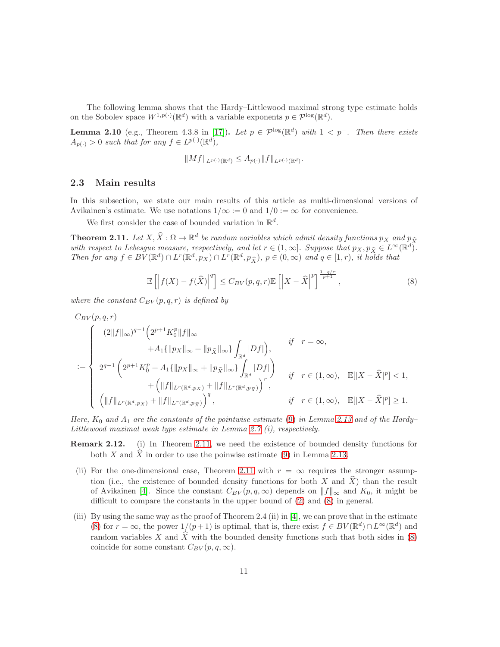The following lemma shows that the Hardy–Littlewood maximal strong type estimate holds on the Sobolev space  $W^{1,p(\cdot)}(\mathbb{R}^d)$  with a variable exponents  $p \in \mathcal{P}^{\log}(\mathbb{R}^d)$ .

<span id="page-10-2"></span>**Lemma 2.10** (e.g., Theorem 4.3.8 in [\[17\]](#page-29-4)). Let  $p \in \mathcal{P}^{\log}(\mathbb{R}^d)$  with  $1 < p^-$ . Then there exists  $A_{p(\cdot)} > 0$  such that for any  $f \in L^{p(\cdot)}(\mathbb{R}^d)$ ,

<span id="page-10-1"></span>
$$
||Mf||_{L^{p(\cdot)}(\mathbb{R}^d)} \leq A_{p(\cdot)}||f||_{L^{p(\cdot)}(\mathbb{R}^d)}.
$$

#### 2.3 Main results

In this subsection, we state our main results of this article as multi-dimensional versions of Avikainen's estimate. We use notations  $1/\infty := 0$  and  $1/0 := \infty$  for convenience.

We first consider the case of bounded variation in  $\mathbb{R}^d$ .

<span id="page-10-0"></span>**Theorem 2.11.** Let  $X, \hat{X} : \Omega \to \mathbb{R}^d$  be random variables which admit density functions  $p_X$  and  $p_{\hat{X}}$ with respect to Lebesgue measure, respectively, and let  $r \in (1,\infty]$ . Suppose that  $p_X, p_{\widehat{X}} \in L^{\infty}(\mathbb{R}^d)$ . Then for any  $f \in BV(\mathbb{R}^d) \cap L^r(\mathbb{R}^d, p_X) \cap L^r(\mathbb{R}^d, p_{\hat{X}}), p \in (0, \infty)$  and  $q \in [1, r)$ , it holds that

$$
\mathbb{E}\left[\left|f(X) - f(\widehat{X})\right|^q\right] \le C_{BV}(p,q,r)\mathbb{E}\left[\left|X - \widehat{X}\right|^p\right]^{\frac{1-q/r}{p+1}},\tag{8}
$$

where the constant  $C_{BV}(p,q,r)$  is defined by

$$
C_{BV}(p,q,r)
$$
\n
$$
:=\begin{cases}\n(2||f||_{\infty})^{q-1} (2^{p+1} K_0^p ||f||_{\infty} \\
+ A_1 \{ ||p_X||_{\infty} + ||p_{\hat{X}}||_{\infty} \} \int_{\mathbb{R}^d} |Df| \big), & \text{if } r = \infty, \\
2^{q-1} (2^{p+1} K_0^p + A_1 \{ ||p_X||_{\infty} + ||p_{\hat{X}}||_{\infty} \} \int_{\mathbb{R}^d} |Df| \big) \\
+ (||f||_{L^r(\mathbb{R}^d, p_X)} + ||f||_{L^r(\mathbb{R}^d, p_{\hat{X}})})^r, & \text{if } r \in (1, \infty), \mathbb{E}[|X - \hat{X}|^p] \ge 1, \\
(||f||_{L^r(\mathbb{R}^d, p_X)} + ||f||_{L^r(\mathbb{R}^d, p_{\hat{X}})})^q, & \text{if } r \in (1, \infty), \mathbb{E}[|X - \hat{X}|^p] \ge 1.\n\end{cases}
$$

Here,  $K_0$  and  $A_1$  are the constants of the pointwise estimate [\(9\)](#page-11-1) in Lemma [2.13](#page-11-0) and of the Hardy– Littlewood maximal weak type estimate in Lemma 2.7 (i), respectively.

- Remark 2.12. (i) In Theorem [2.11,](#page-10-0) we need the existence of bounded density functions for both X and  $\hat{X}$  in order to use the poinwise estimate [\(9\)](#page-11-1) in Lemma [2.13.](#page-11-0)
	- (ii) For the one-dimensional case, Theorem [2.11](#page-10-0) with  $r = \infty$  requires the stronger assumption (i.e., the existence of bounded density functions for both X and  $\hat{X}$ ) than the result of Avikainen [\[4\]](#page-28-0). Since the constant  $C_{BV}(p,q,\infty)$  depends on  $||f||_{\infty}$  and  $K_0$ , it might be difficult to compare the constants in the upper bound of [\(2\)](#page-1-1) and [\(8\)](#page-10-1) in general.
- (iii) By using the same way as the proof of Theorem 2.4 (ii) in  $[4]$ , we can prove that in the estimate [\(8\)](#page-10-1) for  $r = \infty$ , the power  $1/(p+1)$  is optimal, that is, there exist  $f \in BV(\mathbb{R}^d) \cap L^{\infty}(\mathbb{R}^d)$  and random variables X and  $\hat{X}$  with the bounded density functions such that both sides in [\(8\)](#page-10-1) coincide for some constant  $C_{BV}(p,q,\infty)$ .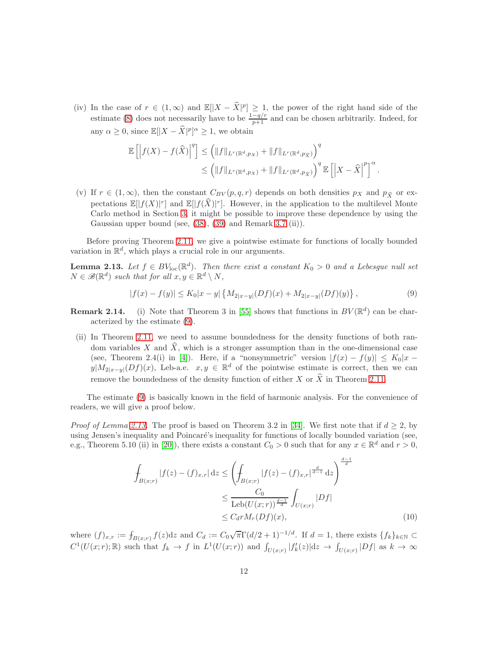(iv) In the case of  $r \in (1,\infty)$  and  $\mathbb{E}[|X-\hat{X}|^p] \geq 1$ , the power of the right hand side of the estimate [\(8\)](#page-10-1) does not necessarily have to be  $\frac{1-q/r}{p+1}$  and can be chosen arbitrarily. Indeed, for any  $\alpha \geq 0$ , since  $\mathbb{E}[|X - \widehat{X}|^p]^{\alpha} \geq 1$ , we obtain

$$
\mathbb{E}\left[\left|f(X) - f(\widehat{X})\right|^q\right] \leq \left(\|f\|_{L^r(\mathbb{R}^d, p_X)} + \|f\|_{L^r(\mathbb{R}^d, p_{\widehat{X}})}\right)^q
$$
  

$$
\leq \left(\|f\|_{L^r(\mathbb{R}^d, p_X)} + \|f\|_{L^r(\mathbb{R}^d, p_{\widehat{X}})}\right)^q \mathbb{E}\left[\left|X - \widehat{X}\right|^p\right]^\alpha.
$$

(v) If  $r \in (1,\infty)$ , then the constant  $C_{BV}(p,q,r)$  depends on both densities  $p_X$  and  $p_{\hat{X}}$  or expectations  $\mathbb{E}[|f(X)|^r]$  and  $\mathbb{E}[|f(\widehat{X})|^r]$ . However, in the application to the multilevel Monte Carlo method in Section [3,](#page-22-0) it might be possible to improve these dependence by using the Gaussian upper bound (see, [\(38\)](#page-23-0), [\(39\)](#page-23-1) and Remark 3.7 (ii)).

Before proving Theorem [2.11,](#page-10-0) we give a pointwise estimate for functions of locally bounded variation in  $\mathbb{R}^d$ , which plays a crucial role in our arguments.

<span id="page-11-0"></span>**Lemma 2.13.** Let  $f \in BV_{loc}(\mathbb{R}^d)$ . Then there exist a constant  $K_0 > 0$  and a Lebesgue null set  $N \in \mathscr{B}(\mathbb{R}^d)$  such that for all  $x, y \in \mathbb{R}^d \setminus N$ ,

<span id="page-11-1"></span>
$$
|f(x) - f(y)| \le K_0 |x - y| \left\{ M_{2|x - y|}(Df)(x) + M_{2|x - y|}(Df)(y) \right\},\tag{9}
$$

**Remark 2.14.** (i) Note that Theorem 3 in [\[55\]](#page-31-5) shows that functions in  $BV(\mathbb{R}^d)$  can be characterized by the estimate [\(9\)](#page-11-1).

(ii) In Theorem [2.11,](#page-10-0) we need to assume boundedness for the density functions of both random variables X and  $\hat{X}$ , which is a stronger assumption than in the one-dimensional case (see, Theorem 2.4(i) in [\[4\]](#page-28-0)). Here, if a "nonsymmetric" version  $|f(x) - f(y)| \leq K_0 |x - y|$  $y|M_{2|x-y|}(Df)(x)$ , Leb-a.e.  $x, y \in \mathbb{R}^d$  of the pointwise estimate is correct, then we can remove the boundedness of the density function of either X or  $\hat{X}$  in Theorem [2.11.](#page-10-0)

The estimate [\(9\)](#page-11-1) is basically known in the field of harmonic analysis. For the convenience of readers, we will give a proof below.

*Proof of Lemma [2.13.](#page-11-0)* The proof is based on Theorem 3.2 in [\[34\]](#page-30-14). We first note that if  $d \geq 2$ , by using Jensen's inequality and Poincaré's inequality for functions of locally bounded variation (see, e.g., Theorem 5.10 (ii) in [\[20\]](#page-29-3)), there exists a constant  $C_0 > 0$  such that for any  $x \in \mathbb{R}^d$  and  $r > 0$ ,

<span id="page-11-2"></span>
$$
\int_{B(x;r)} |f(z) - (f)_{x,r}| dz \le \left( \int_{B(x;r)} |f(z) - (f)_{x,r}|^{\frac{d}{d-1}} dz \right)^{\frac{d-1}{d}}
$$
\n
$$
\le \frac{C_0}{\text{Leb}(U(x;r))^{\frac{d-1}{d}}} \int_{U(x;r)} |Df|
$$
\n
$$
\le C_d r M_r (Df)(x), \tag{10}
$$

where  $(f)_{x,r} := \int_{B(x;r)} f(z) dz$  and  $C_d := C_0 \sqrt{\pi} \Gamma(d/2+1)^{-1/d}$ . If  $d = 1$ , there exists  $\{f_k\}_{k \in \mathbb{N}} \subset$  $C^1(U(x; r); \mathbb{R})$  such that  $f_k \to f$  in  $L^1(U(x; r))$  and  $\int_{U(x; r)} |f'_k(z)| \mathrm{d}z \to \int_{U(x; r)} |Df|$  as  $k \to \infty$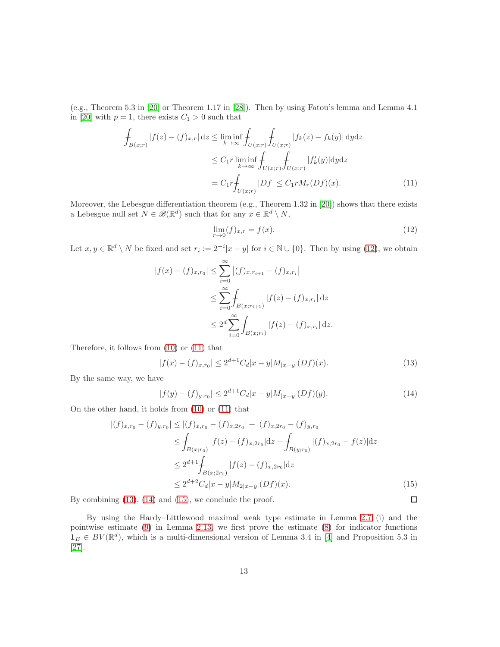(e.g., Theorem 5.3 in [\[20\]](#page-29-3) or Theorem 1.17 in [\[28\]](#page-30-11)). Then by using Fatou's lemma and Lemma 4.1 in [\[20\]](#page-29-3) with  $p = 1$ , there exists  $C_1 > 0$  such that

$$
\int_{B(x;r)} |f(z) - (f)_{x,r}| dz \le \liminf_{k \to \infty} \int_{U(x;r)} \int_{U(x;r)} |f_k(z) - f_k(y)| dy dz
$$
\n
$$
\le C_1 r \liminf_{k \to \infty} \int_{U(x;r)} \int_{U(x;r)} |f'_k(y)| dy dz
$$
\n
$$
= C_1 r \int_{U(x;r)} |Df| \le C_1 r M_r (Df)(x).
$$
\n(11)

Moreover, the Lebesgue differentiation theorem (e.g., Theorem 1.32 in [\[20\]](#page-29-3)) shows that there exists a Lebesgue null set  $N \in \mathscr{B}(\mathbb{R}^d)$  such that for any  $x \in \mathbb{R}^d \setminus N$ ,

<span id="page-12-1"></span><span id="page-12-0"></span>
$$
\lim_{r \to 0} (f)_{x,r} = f(x). \tag{12}
$$

Let  $x, y \in \mathbb{R}^d \setminus N$  be fixed and set  $r_i := 2^{-i}|x - y|$  for  $i \in \mathbb{N} \cup \{0\}$ . Then by using [\(12\)](#page-12-0), we obtain

$$
|f(x) - (f)_{x,r_0}| \le \sum_{i=0}^{\infty} |(f)_{x,r_{i+1}} - (f)_{x,r_i}|
$$
  

$$
\le \sum_{i=0}^{\infty} \int_{B(x;r_{i+1})} |f(z) - (f)_{x,r_i}| dz
$$
  

$$
\le 2^d \sum_{i=0}^{\infty} \int_{B(x;r_i)} |f(z) - (f)_{x,r_i}| dz.
$$

Therefore, it follows from [\(10\)](#page-11-2) or [\(11\)](#page-12-1) that

$$
|f(x) - (f)_{x, r_0}| \le 2^{d+1} C_d |x - y| M_{|x - y|}(Df)(x).
$$
 (13)

By the same way, we have

$$
|f(y) - (f)_{y,r_0}| \le 2^{d+1} C_d |x - y| M_{|x-y|}(Df)(y). \tag{14}
$$

<span id="page-12-4"></span><span id="page-12-3"></span><span id="page-12-2"></span> $\Box$ 

On the other hand, it holds from [\(10\)](#page-11-2) or [\(11\)](#page-12-1) that

$$
|(f)_{x,r_0} - (f)_{y,r_0}| \le |(f)_{x,r_0} - (f)_{x,2r_0}| + |(f)_{x,2r_0} - (f)_{y,r_0}|
$$
  
\n
$$
\le \int_{B(x;r_0)} |f(z) - (f)_{x,2r_0}| dz + \int_{B(y;r_0)} |(f)_{x,2r_0} - f(z)| dz
$$
  
\n
$$
\le 2^{d+1} \int_{B(x;2r_0)} |f(z) - (f)_{x,2r_0}| dz
$$
  
\n
$$
\le 2^{d+2} C_d |x - y| M_{2|x-y|} (Df)(x).
$$
 (15)

By combining [\(13\)](#page-12-2), [\(14\)](#page-12-3) and [\(15\)](#page-12-4), we conclude the proof.

By using the Hardy–Littlewood maximal weak type estimate in Lemma 2.7 (i) and the pointwise estimate [\(9\)](#page-11-1) in Lemma [2.13,](#page-11-0) we first prove the estimate [\(8\)](#page-10-1) for indicator functions  $\mathbf{1}_E \in BV(\mathbb{R}^d)$ , which is a multi-dimensional version of Lemma 3.4 in [\[4\]](#page-28-0) and Proposition 5.3 in [\[27\]](#page-29-2).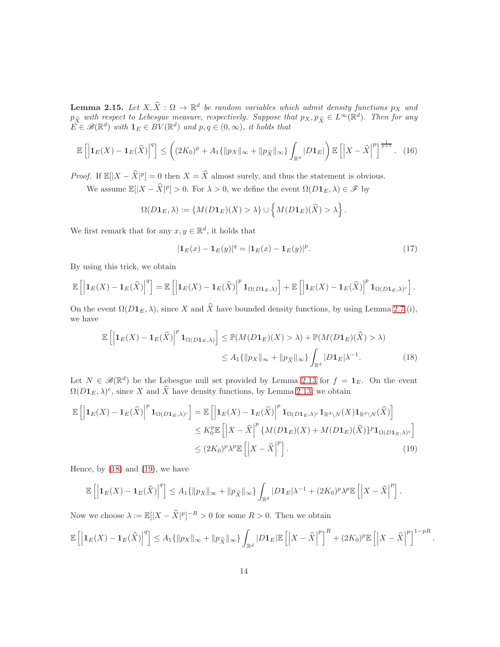<span id="page-13-4"></span>**Lemma 2.15.** Let  $X, \hat{X} : \Omega \to \mathbb{R}^d$  be random variables which admit density functions  $p_X$  and  $p_{\hat{X}}$  with respect to Lebesgue measure, respectively. Suppose that  $p_X, p_{\hat{X}} \in L^{\infty}(\mathbb{R}^d)$ . Then for any  $\overrightarrow{E} \in \mathscr{B}(\mathbb{R}^d)$  with  $\mathbf{1}_E \in BV(\mathbb{R}^d)$  and  $p, q \in (0, \infty)$ , it holds that

$$
\mathbb{E}\left[\left|\mathbf{1}_E(X) - \mathbf{1}_E(\widehat{X})\right|^q\right] \le \left((2K_0)^p + A_1\{\|p_X\|_{\infty} + \|p_{\widehat{X}}\|_{\infty}\}\int_{\mathbb{R}^d} |D\mathbf{1}_E|\right)\mathbb{E}\left[\left|X - \widehat{X}\right|^p\right]^{\frac{1}{p+1}}.\tag{16}
$$

*Proof.* If  $\mathbb{E}[|X - \hat{X}|^p] = 0$  then  $X = \hat{X}$  almost surely, and thus the statement is obvious.

We assume  $\mathbb{E}[|X - \hat{X}|^p] > 0$ . For  $\lambda > 0$ , we define the event  $\Omega(D\mathbf{1}_E, \lambda) \in \mathscr{F}$  by

$$
\Omega(D\mathbf{1}_E,\lambda) := \{M(D\mathbf{1}_E)(X) > \lambda\} \cup \left\{M(D\mathbf{1}_E)(\widehat{X}) > \lambda\right\}.
$$

We first remark that for any  $x, y \in \mathbb{R}^d$ , it holds that

<span id="page-13-3"></span><span id="page-13-2"></span>
$$
|\mathbf{1}_E(x) - \mathbf{1}_E(y)|^q = |\mathbf{1}_E(x) - \mathbf{1}_E(y)|^p.
$$
 (17)

By using this trick, we obtain

$$
\mathbb{E}\left[\left|\mathbf{1}_E(X)-\mathbf{1}_E(\widehat{X})\right|^q\right] = \mathbb{E}\left[\left|\mathbf{1}_E(X)-\mathbf{1}_E(\widehat{X})\right|^p\mathbf{1}_{\Omega(D\mathbf{1}_E,\lambda)}\right] + \mathbb{E}\left[\left|\mathbf{1}_E(X)-\mathbf{1}_E(\widehat{X})\right|^p\mathbf{1}_{\Omega(D\mathbf{1}_E,\lambda)^c}\right].
$$

On the event  $\Omega(D\mathbf{1}_E, \lambda)$ , since X and  $\widehat{X}$  have bounded density functions, by using Lemma 2.7 (i), we have

$$
\mathbb{E}\left[\left|\mathbf{1}_E(X) - \mathbf{1}_E(\hat{X})\right|^p \mathbf{1}_{\Omega(D\mathbf{1}_E,\lambda)}\right] \le \mathbb{P}(M(D\mathbf{1}_E)(X) > \lambda) + \mathbb{P}(M(D\mathbf{1}_E)(\hat{X}) > \lambda)
$$
  

$$
\le A_1 \{ \|p_X\|_{\infty} + \|p_{\hat{X}}\|_{\infty} \} \int_{\mathbb{R}^d} |D\mathbf{1}_E|\lambda^{-1}.
$$
 (18)

Let  $N \in \mathscr{B}(\mathbb{R}^d)$  be the Lebesgue null set provided by Lemma [2.13](#page-11-0) for  $f = 1_E$ . On the event  $\Omega(D\mathbf{1}_E, \lambda)^c$ , since X and X have density functions, by Lemma [2.13,](#page-11-0) we obtain

$$
\mathbb{E}\left[\left|\mathbf{1}_E(X) - \mathbf{1}_E(\widehat{X})\right|^p \mathbf{1}_{\Omega(D\mathbf{1}_E,\lambda)^c}\right] = \mathbb{E}\left[\left|\mathbf{1}_E(X) - \mathbf{1}_E(\widehat{X})\right|^p \mathbf{1}_{\Omega(D\mathbf{1}_E,\lambda)^c} \mathbf{1}_{\mathbb{R}^d\setminus N}(X) \mathbf{1}_{\mathbb{R}^d\setminus N}(\widehat{X})\right] \leq K_0^p \mathbb{E}\left[\left|X - \widehat{X}\right|^p \{M(D\mathbf{1}_E)(X) + M(D\mathbf{1}_E)(\widehat{X})\}^p \mathbf{1}_{\Omega(D\mathbf{1}_E,\lambda)^c}\right] \leq (2K_0)^p \lambda^p \mathbb{E}\left[\left|X - \widehat{X}\right|^p\right].
$$
\n(19)

Hence, by  $(18)$  and  $(19)$ , we have

$$
\mathbb{E}\left[\left|\mathbf{1}_E(X)-\mathbf{1}_E(\widehat{X})\right|^q\right] \leq A_1 \{\|p_X\|_{\infty}+\|p_{\widehat{X}}\|_{\infty}\}\int_{\mathbb{R}^d} |D\mathbf{1}_E|\lambda^{-1}+(2K_0)^p\lambda^p\mathbb{E}\left[\left|X-\widehat{X}\right|^p\right].
$$

Now we choose  $\lambda := \mathbb{E}[|X - \widehat{X}|^p]^{-R} > 0$  for some  $R > 0$ . Then we obtain

$$
\mathbb{E}\left[\left|\mathbf{1}_E(X) - \mathbf{1}_E(\widehat{X})\right|^q\right] \le A_1 \{\|p_X\|_{\infty} + \|p_{\widehat{X}}\|_{\infty}\} \int_{\mathbb{R}^d} |D\mathbf{1}_E|\mathbb{E}\left[\left|X - \widehat{X}\right|^p\right]^R + (2K_0)^p \mathbb{E}\left[\left|X - \widehat{X}\right|^p\right]^{1-pR}
$$

<span id="page-13-1"></span><span id="page-13-0"></span>.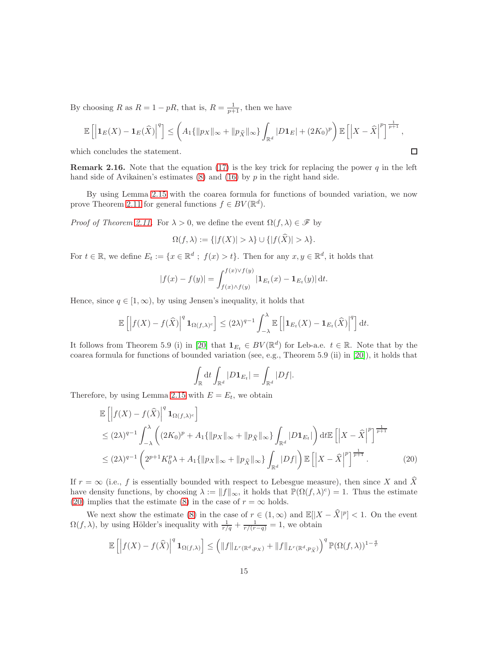By choosing R as  $R = 1 - pR$ , that is,  $R = \frac{1}{p+1}$ , then we have

$$
\mathbb{E}\left[\left|\mathbf{1}_E(X)-\mathbf{1}_E(\widehat{X})\right|^q\right] \leq \left(A_1\{\|p_X\|_{\infty}+\|p_{\widehat{X}}\|_{\infty}\}\int_{\mathbb{R}^d}|D\mathbf{1}_E|+(2K_0)^p\right)\mathbb{E}\left[\left|X-\widehat{X}\right|^p\right]^{\frac{1}{p+1}},
$$

 $\Box$ 

which concludes the statement.

**Remark 2.16.** Note that the equation [\(17\)](#page-13-2) is the key trick for replacing the power q in the left hand side of Avikainen's estimates  $(8)$  and  $(16)$  by p in the right hand side.

By using Lemma [2.15](#page-13-4) with the coarea formula for functions of bounded variation, we now prove Theorem [2.11](#page-10-0) for general functions  $f \in BV(\mathbb{R}^d)$ .

*Proof of Theorem [2.11.](#page-10-0)* For  $\lambda > 0$ , we define the event  $\Omega(f, \lambda) \in \mathscr{F}$  by

$$
\Omega(f,\lambda) := \{|f(X)| > \lambda\} \cup \{|f(\widehat{X})| > \lambda\}.
$$

For  $t \in \mathbb{R}$ , we define  $E_t := \{x \in \mathbb{R}^d : f(x) > t\}$ . Then for any  $x, y \in \mathbb{R}^d$ , it holds that

$$
|f(x) - f(y)| = \int_{f(x) \wedge f(y)}^{f(x) \vee f(y)} |\mathbf{1}_{E_t}(x) - \mathbf{1}_{E_t}(y)| \, \mathrm{d}t.
$$

Hence, since  $q \in [1,\infty)$ , by using Jensen's inequality, it holds that

$$
\mathbb{E}\left[\left|f(X) - f(\widehat{X})\right|^q \mathbf{1}_{\Omega(f,\lambda)^c}\right] \leq (2\lambda)^{q-1} \int_{-\lambda}^{\lambda} \mathbb{E}\left[\left|\mathbf{1}_{E_t}(X) - \mathbf{1}_{E_t}(\widehat{X})\right|^q\right] dt.
$$

It follows from Theorem 5.9 (i) in [\[20\]](#page-29-3) that  $\mathbf{1}_{E_t} \in BV(\mathbb{R}^d)$  for Leb-a.e.  $t \in \mathbb{R}$ . Note that by the coarea formula for functions of bounded variation (see, e.g., Theorem 5.9 (ii) in [\[20\]](#page-29-3)), it holds that

<span id="page-14-0"></span>
$$
\int_{\mathbb{R}} \mathrm{d} t \int_{\mathbb{R}^d} |D \mathbf{1}_{E_t}| = \int_{\mathbb{R}^d} |Df|.
$$

Therefore, by using Lemma [2.15](#page-13-4) with  $E = E_t$ , we obtain

$$
\mathbb{E}\left[\left|f(X) - f(\widehat{X})\right|^q \mathbf{1}_{\Omega(f,\lambda)^c}\right]
$$
\n
$$
\leq (2\lambda)^{q-1} \int_{-\lambda}^{\lambda} \left( (2K_0)^p + A_1 \{ \|p_X\|_{\infty} + \|p_{\widehat{X}}\|_{\infty} \} \int_{\mathbb{R}^d} |D \mathbf{1}_{E_t}|\right) \mathrm{d} t \mathbb{E}\left[\left|X - \widehat{X}\right|^p\right]^\frac{1}{p+1}
$$
\n
$$
\leq (2\lambda)^{q-1} \left( 2^{p+1} K_0^p \lambda + A_1 \{ \|p_X\|_{\infty} + \|p_{\widehat{X}}\|_{\infty} \} \int_{\mathbb{R}^d} |Df|\right) \mathbb{E}\left[\left|X - \widehat{X}\right|^p\right]^\frac{1}{p+1}.\tag{20}
$$

If  $r = \infty$  (i.e., f is essentially bounded with respect to Lebesgue measure), then since X and  $\widehat{X}$ have density functions, by choosing  $\lambda := ||f||_{\infty}$ , it holds that  $\mathbb{P}(\Omega(f, \lambda)^c) = 1$ . Thus the estimate [\(20\)](#page-14-0) implies that the estimate [\(8\)](#page-10-1) in the case of  $r = \infty$  holds.

We next show the estimate [\(8\)](#page-10-1) in the case of  $r \in (1,\infty)$  and  $\mathbb{E}[|X-\hat{X}|^p] < 1$ . On the event  $\Omega(f, \lambda)$ , by using Hölder's inequality with  $\frac{1}{r/q} + \frac{1}{r/(r-q)} = 1$ , we obtain

$$
\mathbb{E}\left[\left|f(X) - f(\widehat{X})\right|^q \mathbf{1}_{\Omega(f,\lambda)}\right] \leq \left(\|f\|_{L^r(\mathbb{R}^d,p_X)} + \|f\|_{L^r(\mathbb{R}^d,p_{\widehat{X}})}\right)^q \mathbb{P}(\Omega(f,\lambda))^{1-\frac{q}{r}}
$$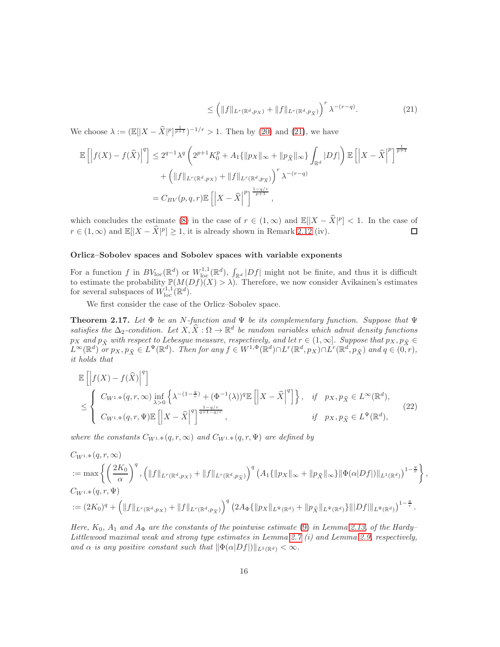<span id="page-15-1"></span>
$$
\leq \left(\|f\|_{L^r(\mathbb{R}^d, p_X)} + \|f\|_{L^r(\mathbb{R}^d, p_{\widehat{X}})}\right)^r \lambda^{-(r-q)}.\tag{21}
$$

We choose  $\lambda := (\mathbb{E}[|X - \hat{X}|^p]^{\frac{1}{p+1}})^{-1/r} > 1$ . Then by [\(20\)](#page-14-0) and [\(21\)](#page-15-1), we have

$$
\mathbb{E}\left[\left|f(X) - f(\widehat{X})\right|^q\right] \le 2^{q-1}\lambda^q \left(2^{p+1}K_0^p + A_1\{\|p_X\|_{\infty} + \|p_{\widehat{X}}\|_{\infty}\}\int_{\mathbb{R}^d} |Df|\right) \mathbb{E}\left[\left|X - \widehat{X}\right|^p\right]^{\frac{1}{p+1}} + \left(\|f\|_{L^r(\mathbb{R}^d, p_X)} + \|f\|_{L^r(\mathbb{R}^d, p_{\widehat{X}})}\right)^r \lambda^{-(r-q)}
$$
  

$$
= C_{BV}(p, q, r) \mathbb{E}\left[\left|X - \widehat{X}\right|^p\right]^{\frac{1-q/r}{p+1}},
$$

which concludes the estimate [\(8\)](#page-10-1) in the case of  $r \in (1,\infty)$  and  $\mathbb{E}[|X-\hat{X}|^p] < 1$ . In the case of  $r \in (1,\infty)$  and  $\mathbb{E}[|X - \widehat{X}|^p] \ge 1$ , it is already shown in Remark 2.12 (iv).  $\Box$ 

#### Orlicz–Sobolev spaces and Sobolev spaces with variable exponents

For a function f in  $BV_{\text{loc}}(\mathbb{R}^d)$  or  $W^{1,1}_{\text{loc}}(\mathbb{R}^d)$ ,  $\int_{\mathbb{R}^d} |Df|$  might not be finite, and thus it is difficult to estimate the probability  $\mathbb{P}(M(Df)(X) > \lambda)$ . Therefore, we now consider Avikainen's estimates for several subspaces of  $W^{1,1}_{loc}(\mathbb{R}^d)$ .

We first consider the case of the Orlicz–Sobolev space.

<span id="page-15-0"></span>**Theorem 2.17.** Let  $\Phi$  be an N-function and  $\Psi$  be its complementary function. Suppose that  $\Psi$ satisfies the  $\Delta_2$ -condition. Let  $X, \hat{X} : \Omega \to \mathbb{R}^d$  be random variables which admit density functions  $p_X$  and  $p_{\widehat{X}}$  with respect to Lebesgue measure, respectively, and let  $r \in (1, \infty]$ . Suppose that  $p_X, p_{\widehat{X}} \in$  $L^{\infty}(\mathbb{R}^d)$  or  $p_X, p_{\widehat{X}} \in L^{\Psi}(\mathbb{R}^d)$ . Then for any  $f \in W^{1,\Phi}(\mathbb{R}^d) \cap L^r(\mathbb{R}^d, p_X) \cap L^r(\mathbb{R}^d, p_{\widehat{X}})$  and  $q \in (0,r)$ , it holds that

<span id="page-15-2"></span>
$$
\mathbb{E}\left[\left|f(X) - f(\widehat{X})\right|^q\right] \n\leq \begin{cases}\nC_{W^{1,\Phi}}(q,r,\infty) \inf_{\lambda>0} \left\{\lambda^{-(1-\frac{q}{r})} + (\Phi^{-1}(\lambda))^q \mathbb{E}\left[\left|X-\widehat{X}\right|^q\right]\right\}, & \text{if } p_X, p_{\widehat{X}} \in L^{\infty}(\mathbb{R}^d), \\
C_{W^{1,\Phi}}(q,r,\Psi) \mathbb{E}\left[\left|X-\widehat{X}\right|^q\right]^{\frac{1-q/r}{q+1-q/r}}, & \text{if } p_X, p_{\widehat{X}} \in L^{\Psi}(\mathbb{R}^d),\n\end{cases} (22)
$$

where the constants  $C_{W^{1,\Phi}}(q,r,\infty)$  and  $C_{W^{1,\Phi}}(q,r,\Psi)$  are defined by

$$
C_{W^{1,\Phi}}(q,r,\infty)
$$
  
\n
$$
:= \max \left\{ \left( \frac{2K_0}{\alpha} \right)^q, \left( \|f\|_{L^r(\mathbb{R}^d,p_X)} + \|f\|_{L^r(\mathbb{R}^d,p_{\bar{X}})} \right)^q (A_1\{ \|p_X\|_{\infty} + \|p_{\hat{X}}\|_{\infty} \} \|\Phi(\alpha|Df|) \|_{L^1(\mathbb{R}^d)} )^{1-\frac{q}{r}} \right\},\,
$$
  
\n
$$
C_{W^{1,\Phi}}(q,r,\Psi)
$$
  
\n
$$
:= (2K_0)^q + \left( \|f\|_{L^r(\mathbb{R}^d,p_X)} + \|f\|_{L^r(\mathbb{R}^d,p_{\bar{X}})} \right)^q (2A_{\Phi}\{ \|p_X\|_{L^{\Psi}(\mathbb{R}^d)} + \|p_{\hat{X}}\|_{L^{\Psi}(\mathbb{R}^d)} \} \| |Df| \|_{L^{\Phi}(\mathbb{R}^d)} )^{1-\frac{q}{r}}.
$$

Here,  $K_0$ ,  $A_1$  and  $A_{\Phi}$  are the constants of the pointwise estimate [\(9\)](#page-11-1) in Lemma [2.13,](#page-11-0) of the Hardy– Littlewood maximal weak and strong type estimates in Lemma 2.7 (i) and Lemma [2.9,](#page-9-0) respectively, and  $\alpha$  is any positive constant such that  $\|\Phi(\alpha|Df))\|_{L^1(\mathbb{R}^d)} < \infty$ .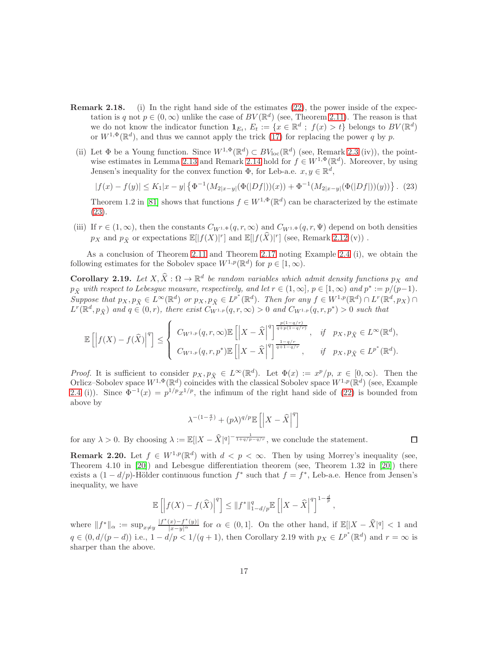- Remark 2.18. (i) In the right hand side of the estimates [\(22\)](#page-15-2), the power inside of the expectation is q not  $p \in (0, \infty)$  unlike the case of  $BV(\mathbb{R}^d)$  (see, Theorem [2.11\)](#page-10-0). The reason is that we do not know the indicator function  $\mathbf{1}_{E_t}$ ,  $E_t := \{x \in \mathbb{R}^d : f(x) > t\}$  belongs to  $BV(\mathbb{R}^d)$ or  $W^{1,\Phi}(\mathbb{R}^d)$ , and thus we cannot apply the trick [\(17\)](#page-13-2) for replacing the power q by p.
	- (ii) Let  $\Phi$  be a Young function. Since  $W^{1,\Phi}(\mathbb{R}^d) \subset BV_{\text{loc}}(\mathbb{R}^d)$  (see, Remark 2.3 (iv)), the point-wise estimates in Lemma [2.13](#page-11-0) and Remark 2.14 hold for  $f \in W^{1,\Phi}(\mathbb{R}^d)$ . Moreover, by using Jensen's inequality for the convex function  $\Phi$ , for Leb-a.e.  $x, y \in \mathbb{R}^d$ ,

$$
|f(x) - f(y)| \le K_1 |x - y| \left\{ \Phi^{-1}(M_{2|x - y|}(\Phi(|Df|))(x)) + \Phi^{-1}(M_{2|x - y|}(\Phi(|Df|))(y)) \right\}.
$$
 (23)

Theorem 1.2 in [\[81\]](#page-33-1) shows that functions  $f \in W^{1,\Phi}(\mathbb{R}^d)$  can be characterized by the estimate [\(23\)](#page-16-0).

(iii) If  $r \in (1,\infty)$ , then the constants  $C_{W^{1,\Phi}}(q,r,\infty)$  and  $C_{W^{1,\Phi}}(q,r,\Psi)$  depend on both densities  $p_X$  and  $p_{\hat{X}}$  or expectations  $\mathbb{E}[|f(X)|^r]$  and  $\mathbb{E}[|f(\hat{X})|^r]$  (see, Remark 2.12 (v)).

As a conclusion of Theorem [2.11](#page-10-0) and Theorem [2.17](#page-15-0) noting Example 2.4 (i), we obtain the following estimates for the Sobolev space  $W^{1,p}(\mathbb{R}^d)$  for  $p \in [1,\infty)$ .

**Corollary 2.19.** Let  $X, \hat{X} : \Omega \to \mathbb{R}^d$  be random variables which admit density functions  $p_X$  and  $p_{\hat{X}}$  with respect to Lebesgue measure, respectively, and let  $r \in (1,\infty]$ ,  $p \in [1,\infty)$  and  $p^* := p/(p-1)$ . Suppose that  $p_X, p_{\hat{X}} \in L^{\infty}(\mathbb{R}^d)$  or  $p_X, p_{\hat{X}} \in L^{p^*}(\mathbb{R}^d)$ . Then for any  $f \in W^{1,p}(\mathbb{R}^d) \cap L^r(\mathbb{R}^d, p_X)$  $L^r(\mathbb{R}^d, p_{\widehat{X}})$  and  $q \in (0,r)$ , there exist  $C_{W^{1,p}}(q,r,\infty) > 0$  and  $C_{W^{1,p}}(q,r,p^*) > 0$  such that

$$
\mathbb{E}\left[\left|f(X) - f(\widehat{X})\right|^q\right] \leq \left\{\begin{array}{ll} C_{W^{1,p}}(q,r,\infty) \mathbb{E}\left[\left|X - \widehat{X}\right|^q\right]^{\frac{p(1-q/r)}{q+p(1-q/r)}}, & \text{if} & p_X, p_{\widehat{X}} \in L^\infty(\mathbb{R}^d), \\ C_{W^{1,p}}(q,r,p^*) \mathbb{E}\left[\left|X - \widehat{X}\right|^q\right]^{\frac{1-q/r}{q+1-q/r}}, & \text{if} & p_X, p_{\widehat{X}} \in L^{p^*}(\mathbb{R}^d). \end{array}\right.
$$

*Proof.* It is sufficient to consider  $p_X, p_{\hat{X}} \in L^{\infty}(\mathbb{R}^d)$ . Let  $\Phi(x) := x^p/p$ ,  $x \in [0, \infty)$ . Then the Orlicz–Sobolev space  $W^{1,\Phi}(\mathbb{R}^d)$  coincides with the classical Sobolev space  $W^{1,p}(\mathbb{R}^d)$  (see, Example 2.4 (i)). Since  $\Phi^{-1}(x) = p^{1/p} x^{1/p}$ , the infimum of the right hand side of [\(22\)](#page-15-2) is bounded from above by

$$
\lambda^{-(1-\frac{q}{r})}+(p\lambda)^{q/p}\mathbb{E}\left[\left|X-\widehat{X}\right|^{q}\right]
$$

for any  $\lambda > 0$ . By choosing  $\lambda := \mathbb{E}[|X - \widehat{X}|^q]^{-\frac{1}{1+q/p-q/r}}$ , we conclude the statement.

<span id="page-16-0"></span> $\Box$ 

**Remark 2.20.** Let  $f \in W^{1,p}(\mathbb{R}^d)$  with  $d < p < \infty$ . Then by using Morrey's inequality (see, Theorem 4.10 in [\[20\]](#page-29-3)) and Lebesgue differentiation theorem (see, Theorem 1.32 in [\[20\]](#page-29-3)) there exists a  $(1 - d/p)$ -Hölder continuous function  $f^*$  such that  $f = f^*$ , Leb-a.e. Hence from Jensen's inequality, we have

$$
\mathbb{E}\left[\left|f(X) - f(\widehat{X})\right|^q\right] \leq \|f^*\|_{1-d/p}^q \mathbb{E}\left[\left|X - \widehat{X}\right|^q\right]^{1-\frac{d}{p}},
$$

where  $||f^*||_{\alpha} := \sup_{x\neq y} \frac{|f^*(x)-f^*(y)|}{|x-y|^{\alpha}}$  for  $\alpha \in (0,1]$ . On the other hand, if  $\mathbb{E}[|X-\hat{X}|^q] < 1$  and  $q \in (0, d/(p-d))$  i.e.,  $1 - d/p < 1/(q+1)$ , then Corollary 2.19 with  $p_X \in L^{p^*}(\mathbb{R}^d)$  and  $r = \infty$  is sharper than the above.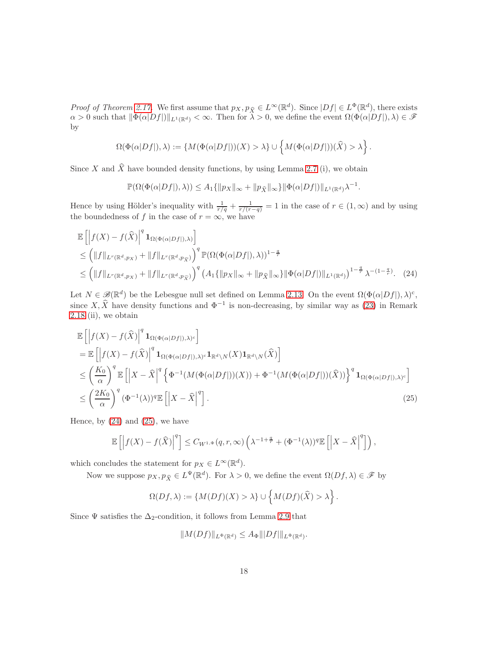Proof of Theorem [2.17.](#page-15-0) We first assume that  $p_X, p_{\hat{X}} \in L^{\infty}(\mathbb{R}^d)$ . Since  $|Df| \in L^{\Phi}(\mathbb{R}^d)$ , there exists  $\alpha > 0$  such that  $\|\Phi(\alpha|Df|)\|_{L^1(\mathbb{R}^d)} < \infty$ . Then for  $\lambda > 0$ , we define the event  $\Omega(\Phi(\alpha|Df|), \lambda) \in \mathscr{F}$ by

$$
\Omega(\Phi(\alpha|Df|),\lambda) := \{ M(\Phi(\alpha|Df|))(X) > \lambda \} \cup \left\{ M(\Phi(\alpha|Df|))(\widehat{X}) > \lambda \right\}.
$$

Since X and  $\hat{X}$  have bounded density functions, by using Lemma 2.7 (i), we obtain

<span id="page-17-0"></span>
$$
\mathbb{P}(\Omega(\Phi(\alpha|Df|),\lambda)) \leq A_1 \{ ||p_X||_{\infty} + ||p_{\widehat{X}}||_{\infty} \} ||\Phi(\alpha|Df|)||_{L^1(\mathbb{R}^d)} \lambda^{-1}.
$$

Hence by using Hölder's inequality with  $\frac{1}{r/q} + \frac{1}{r/(r-q)} = 1$  in the case of  $r \in (1, \infty)$  and by using the boundedness of f in the case of  $r = \infty$ , we have

$$
\mathbb{E}\left[\left|f(X) - f(\widehat{X})\right|^q \mathbf{1}_{\Omega(\Phi(\alpha|Df|),\lambda)}\right] \leq \left(\|f\|_{L^r(\mathbb{R}^d,p_X)} + \|f\|_{L^r(\mathbb{R}^d,p_{\widehat{X}})}\right)^q \mathbb{P}(\Omega(\Phi(\alpha|Df|),\lambda))^{1-\frac{q}{r}} \leq \left(\|f\|_{L^r(\mathbb{R}^d,p_X)} + \|f\|_{L^r(\mathbb{R}^d,p_{\widehat{X}})}\right)^q \left(A_1\{\|p_X\|_{\infty} + \|p_{\widehat{X}}\|_{\infty}\}\|\Phi(\alpha|Df|)\|_{L^1(\mathbb{R}^d)}\right)^{1-\frac{q}{r}}\lambda^{-(1-\frac{q}{r})}. (24)
$$

Let  $N \in \mathcal{B}(\mathbb{R}^d)$  be the Lebesgue null set defined on Lemma [2.13.](#page-11-0) On the event  $\Omega(\Phi(\alpha|Df|),\lambda)^c$ , since  $X, \hat{X}$  have density functions and  $\Phi^{-1}$  is non-decreasing, by similar way as [\(23\)](#page-16-0) in Remark 2.18 (ii), we obtain

$$
\mathbb{E}\left[\left|f(X) - f(\widehat{X})\right|^q \mathbf{1}_{\Omega(\Phi(\alpha|Df|),\lambda)^c}\right]
$$
\n
$$
= \mathbb{E}\left[\left|f(X) - f(\widehat{X})\right|^q \mathbf{1}_{\Omega(\Phi(\alpha|Df|),\lambda)^c} \mathbf{1}_{\mathbb{R}^d \backslash N}(X) \mathbf{1}_{\mathbb{R}^d \backslash N}(\widehat{X})\right]
$$
\n
$$
\leq \left(\frac{K_0}{\alpha}\right)^q \mathbb{E}\left[\left|X - \widehat{X}\right|^q \left\{\Phi^{-1}(M(\Phi(\alpha|Df|))(X)) + \Phi^{-1}(M(\Phi(\alpha|Df|))(\widehat{X}))\right\}^q \mathbf{1}_{\Omega(\Phi(\alpha|Df|),\lambda)^c}\right]
$$
\n
$$
\leq \left(\frac{2K_0}{\alpha}\right)^q (\Phi^{-1}(\lambda))^q \mathbb{E}\left[\left|X - \widehat{X}\right|^q\right].
$$
\n(25)

Hence, by  $(24)$  and  $(25)$ , we have

$$
\mathbb{E}\left[\left|f(X) - f(\widehat{X})\right|^q\right] \leq C_{W^{1,\Phi}}(q,r,\infty)\left(\lambda^{-1+\frac{q}{r}} + (\Phi^{-1}(\lambda))^q \mathbb{E}\left[\left|X - \widehat{X}\right|^q\right]\right),
$$

which concludes the statement for  $p_X \in L^{\infty}(\mathbb{R}^d)$ .

Now we suppose  $p_X, p_{\hat{X}} \in L^{\Psi}(\mathbb{R}^d)$ . For  $\lambda > 0$ , we define the event  $\Omega(Df, \lambda) \in \mathscr{F}$  by

$$
\Omega(Df,\lambda):=\left\{M(Df)(X)>\lambda\right\}\cup \left\{M(Df)(\widehat{X})>\lambda\right\}.
$$

Since  $\Psi$  satisfies the  $\Delta_2$ -condition, it follows from Lemma [2.9](#page-9-0) that

<span id="page-17-1"></span>
$$
||M(Df)||_{L^{\Phi}(\mathbb{R}^d)} \leq A_{\Phi}|||Df|||_{L^{\Phi}(\mathbb{R}^d)}.
$$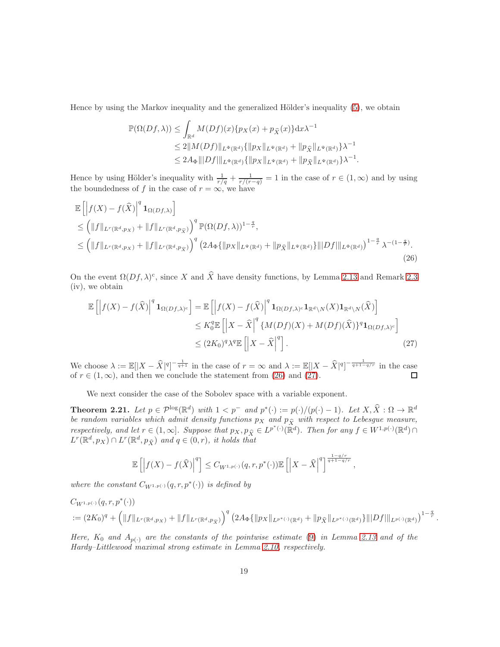Hence by using the Markov inequality and the generalized Hölder's inequality  $(5)$ , we obtain

<span id="page-18-1"></span>
$$
\mathbb{P}(\Omega(Df,\lambda)) \leq \int_{\mathbb{R}^d} M(Df)(x) \{p_X(x) + p_{\hat{X}}(x)\} dx \lambda^{-1} \n\leq 2 \|M(Df)\|_{L^{\Phi}(\mathbb{R}^d)} \{ \|p_X\|_{L^{\Psi}(\mathbb{R}^d)} + \|p_{\hat{X}}\|_{L^{\Psi}(\mathbb{R}^d)} \} \lambda^{-1} \n\leq 2A_{\Phi} \| |Df| \|_{L^{\Phi}(\mathbb{R}^d)} \{ \|p_X\|_{L^{\Psi}(\mathbb{R}^d)} + \|p_{\hat{X}}\|_{L^{\Psi}(\mathbb{R}^d)} \} \lambda^{-1}.
$$

Hence by using Hölder's inequality with  $\frac{1}{r/q} + \frac{1}{r/(r-q)} = 1$  in the case of  $r \in (1, \infty)$  and by using the boundedness of f in the case of  $r = \infty$ , we have

$$
\mathbb{E}\left[\left|f(X) - f(\widehat{X})\right|^q \mathbf{1}_{\Omega(Df,\lambda)}\right]
$$
\n
$$
\leq \left(\|f\|_{L^r(\mathbb{R}^d,p_X)} + \|f\|_{L^r(\mathbb{R}^d,p_{\widehat{X}})}\right)^q \mathbb{P}(\Omega(Df,\lambda))^{1-\frac{q}{r}},
$$
\n
$$
\leq \left(\|f\|_{L^r(\mathbb{R}^d,p_X)} + \|f\|_{L^r(\mathbb{R}^d,p_{\widehat{X}})}\right)^q \left(2A_{\Phi}\{\|p_X\|_{L^{\Psi}(\mathbb{R}^d)} + \|p_{\widehat{X}}\|_{L^{\Psi}(\mathbb{R}^d)}\}\| |Df|\|_{L^{\Phi}(\mathbb{R}^d)}\right)^{1-\frac{q}{r}} \lambda^{-(1-\frac{q}{r})}.
$$
\n(26)

On the event  $\Omega(Df, \lambda)^c$ , since X and X have density functions, by Lemma [2.13](#page-11-0) and Remark 2.3 (iv), we obtain

$$
\mathbb{E}\left[\left|f(X) - f(\widehat{X})\right|^q \mathbf{1}_{\Omega(Df,\lambda)^c}\right] = \mathbb{E}\left[\left|f(X) - f(\widehat{X})\right|^q \mathbf{1}_{\Omega(Df,\lambda)^c} \mathbf{1}_{\mathbb{R}^d \setminus N}(X) \mathbf{1}_{\mathbb{R}^d \setminus N}(\widehat{X})\right] \leq K_0^q \mathbb{E}\left[\left|X - \widehat{X}\right|^q \{M(Df)(X) + M(Df)(\widehat{X})\}^q \mathbf{1}_{\Omega(Df,\lambda)^c}\right] \leq (2K_0)^q \lambda^q \mathbb{E}\left[\left|X - \widehat{X}\right|^q\right].
$$
\n(27)

We choose  $\lambda := \mathbb{E}[|X - \widehat{X}|^q]^{-\frac{1}{q+1}}$  in the case of  $r = \infty$  and  $\lambda := \mathbb{E}[|X - \widehat{X}|^q]^{-\frac{1}{q+1-q/r}}$  in the case of  $r \in (1,\infty)$ , and then we conclude the statement from [\(26\)](#page-18-1) and [\(27\)](#page-18-2).  $\Box$ 

We next consider the case of the Sobolev space with a variable exponent.

<span id="page-18-0"></span>**Theorem 2.21.** Let  $p \in \mathcal{P}^{\log}(\mathbb{R}^d)$  with  $1 < p^-$  and  $p^*(\cdot) := p(\cdot)/(p(\cdot) - 1)$ . Let  $X, \hat{X} : \Omega \to \mathbb{R}^d$ be random variables which admit density functions  $p_X$  and  $p_{\hat{X}}$  with respect to Lebesgue measure, respectively, and let  $r \in (1,\infty]$ . Suppose that  $p_X, p_{\hat{X}} \in L^{p^*(\cdot)}(\mathbb{R}^d)$ . Then for any  $f \in W^{1,p(\cdot)}(\mathbb{R}^d) \cap L^{p^*}(\mathbb{R}^d)$ .  $L^r(\mathbb{R}^d, p_X) \cap L^r(\mathbb{R}^d, p_{\widehat{X}})$  and  $q \in (0, r)$ , it holds that

<span id="page-18-2"></span>
$$
\mathbb{E}\left[\left|f(X)-f(\widehat{X})\right|^q\right] \leq C_{W^{1,p(\cdot)}}(q,r,p^*(\cdot))\mathbb{E}\left[\left|X-\widehat{X}\right|^q\right]^{\frac{1-q/r}{q+1-q/r}},
$$

where the constant  $C_{W^{1,p(\cdot)}}(q,r,p^*(\cdot))$  is defined by

$$
C_{W^{1,p(\cdot)}}(q,r,p^*(\cdot))
$$
  
 :=  $(2K_0)^q + (||f||_{L^r(\mathbb{R}^d,p_X)} + ||f||_{L^r(\mathbb{R}^d,p_{\bar{X}})})^q (2A_{\Phi}\{||p_X||_{L^{p^*(\cdot)}(\mathbb{R}^d)} + ||p_{\hat{X}}||_{L^{p^*(\cdot)}(\mathbb{R}^d)}\}||Df||_{L^{p(\cdot)}(\mathbb{R}^d)})^{1-\frac{q}{r}}.$ 

Here,  $K_0$  and  $A_{p(·)}$  are the constants of the pointwise estimate [\(9\)](#page-11-1) in Lemma [2.13](#page-11-0) and of the Hardy–Littlewood maximal strong estimate in Lemma [2.10,](#page-10-2) respectively.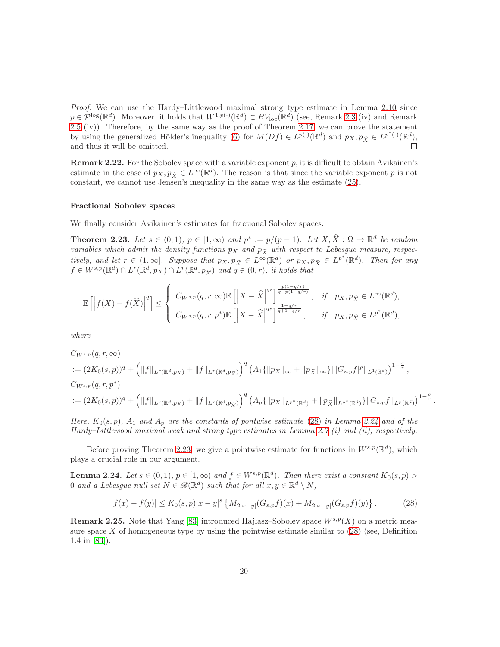Proof. We can use the Hardy–Littlewood maximal strong type estimate in Lemma [2.10](#page-10-2) since  $p \in \mathcal{P}^{\log}(\mathbb{R}^d)$ . Moreover, it holds that  $W^{1,p(\cdot)}(\mathbb{R}^d) \subset BV_{\text{loc}}(\mathbb{R}^d)$  (see, Remark 2.3 (iv) and Remark 2.5 (iv)). Therefore, by the same way as the proof of Theorem [2.17,](#page-15-0) we can prove the statement by using the generalized Hölder's inequality [\(6\)](#page-7-1) for  $M(Df) \in L^{p(\cdot)}(\mathbb{R}^d)$  and  $p_X, p_{\hat{X}} \in L^{p^*(\cdot)}(\mathbb{R}^d)$ , and thus it will be omitted. □

**Remark 2.22.** For the Sobolev space with a variable exponent  $p$ , it is difficult to obtain Avikainen's estimate in the case of  $p_X, p_{\hat{X}} \in L^{\infty}(\mathbb{R}^d)$ . The reason is that since the variable exponent p is not constant, we cannot use Jensen's inequality in the same way as the estimate [\(25\)](#page-17-1).

#### Fractional Sobolev spaces

We finally consider Avikainen's estimates for fractional Sobolev spaces.

<span id="page-19-0"></span>**Theorem 2.23.** Let  $s \in (0,1)$ ,  $p \in [1,\infty)$  and  $p^* := p/(p-1)$ . Let  $X, \hat{X}: \Omega \to \mathbb{R}^d$  be random variables which admit the density functions  $p_X$  and  $p_{\hat{X}}$  with respect to Lebesgue measure, respectively, and let  $r \in (1,\infty]$ . Suppose that  $p_X, p_{\hat{X}} \in L^{\infty}(\mathbb{R}^d)$  or  $p_X, p_{\hat{X}} \in L^{p^*}(\mathbb{R}^d)$ . Then for any  $f \in W^{s,p}(\mathbb{R}^d) \cap L^r(\mathbb{R}^d, p_X) \cap L^r(\mathbb{R}^d, p_{\hat{X}})$  and  $q \in (0, r)$ , it holds that

$$
\mathbb{E}\left[\left|f(X) - f(\widehat{X})\right|^q\right] \leq \left\{\begin{array}{ll} C_{W^{s,p}}(q,r,\infty) \mathbb{E}\left[\left|X - \widehat{X}\right|^{qs}\right]^{\frac{p(1-q/r)}{q+p(1-q/r)}}, & \text{if} & p_X, p_{\widehat{X}} \in L^\infty(\mathbb{R}^d),\\ C_{W^{s,p}}(q,r,p^*) \mathbb{E}\left[\left|X - \widehat{X}\right|^{qs}\right]^{\frac{1-q/r}{q+1-q/r}}, & \text{if} & p_X, p_{\widehat{X}} \in L^{p^*}(\mathbb{R}^d),\end{array}\right.
$$

where

$$
C_{W^{s,p}}(q,r,\infty)
$$
  
\n
$$
:= (2K_0(s,p))^q + \left( ||f||_{L^r(\mathbb{R}^d,p_X)} + ||f||_{L^r(\mathbb{R}^d,p_{\tilde{X}})} \right)^q \left( A_1 \{ ||p_X||_{\infty} + ||p_{\hat{X}}||_{\infty} \} |||G_{s,p}f|^p||_{L^1(\mathbb{R}^d)} \right)^{1-\frac{q}{r}},
$$
  
\n
$$
C_{W^{s,p}}(q,r,p^*)
$$
  
\n
$$
:= (2K_0(s,p))^q + \left( ||f||_{L^r(\mathbb{R}^d,p_X)} + ||f||_{L^r(\mathbb{R}^d,p_{\tilde{X}})} \right)^q \left( A_p \{ ||p_X||_{L^{p^*}(\mathbb{R}^d)} + ||p_{\hat{X}}||_{L^{p^*}(\mathbb{R}^d)} \} ||G_{s,p}f||_{L^p(\mathbb{R}^d)} \right)^{1-\frac{q}{r}}
$$

<span id="page-19-1"></span>.

Here,  $K_0(s, p)$ ,  $A_1$  and  $A_p$  are the constants of pontwise estimate [\(28\)](#page-19-1) in Lemma [2.24](#page-19-2) and of the Hardy–Littlewood maximal weak and strong type estimates in Lemma 2.7 (i) and (ii), respectively.

Before proving Theorem [2.23,](#page-19-0) we give a pointwise estimate for functions in  $W^{s,p}(\mathbb{R}^d)$ , which plays a crucial role in our argument.

<span id="page-19-2"></span>**Lemma 2.24.** Let  $s \in (0,1)$ ,  $p \in [1,\infty)$  and  $f \in W^{s,p}(\mathbb{R}^d)$ . Then there exist a constant  $K_0(s,p)$ 0 and a Lebesgue null set  $N \in \mathscr{B}(\mathbb{R}^d)$  such that for all  $x, y \in \mathbb{R}^d \setminus N$ ,

$$
|f(x) - f(y)| \le K_0(s, p)|x - y|^s \left\{ M_{2|x - y|}(G_{s, p}f)(x) + M_{2|x - y|}(G_{s, p}f)(y) \right\}.
$$
 (28)

**Remark 2.25.** Note that Yang [\[83\]](#page-33-5) introduced Hajlasz–Sobolev space  $W^{s,p}(X)$  on a metric measure space X of homogeneous type by using the pointwise estimate similar to  $(28)$  (see, Definition 1.4 in [\[83\]](#page-33-5)).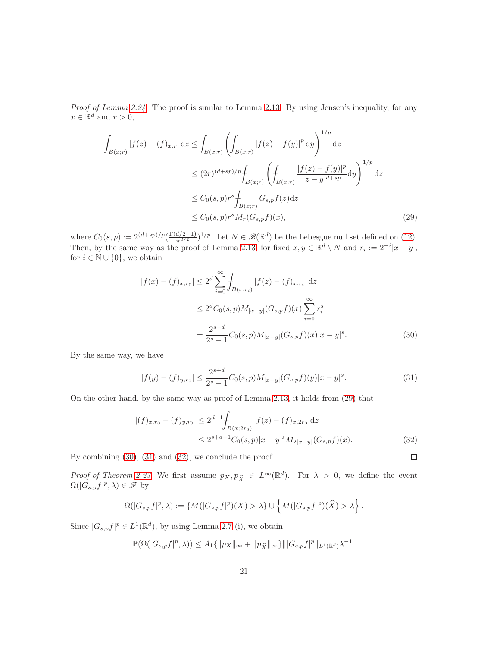Proof of Lemma [2.24.](#page-19-2) The proof is similar to Lemma [2.13.](#page-11-0) By using Jensen's inequality, for any  $x \in \mathbb{R}^d$  and  $r > 0$ ,

$$
\int_{B(x;r)} |f(z) - (f)_{x,r}| dz \le \int_{B(x;r)} \left( \int_{B(x;r)} |f(z) - f(y)|^p dy \right)^{1/p} dz
$$
\n
$$
\le (2r)^{(d+sp)/p} \int_{B(x;r)} \left( \int_{B(x;r)} \frac{|f(z) - f(y)|^p}{|z - y|^{d+sp}} dy \right)^{1/p} dz
$$
\n
$$
\le C_0(s,p)r^s \int_{B(x;r)} G_{s,p}f(z)dz
$$
\n
$$
\le C_0(s,p)r^s M_r(G_{s,p}f)(x), \tag{29}
$$

where  $C_0(s, p) := 2^{(d+sp)/p} \left( \frac{\Gamma(d/2+1)}{\pi^{d/2}} \right)^{1/p}$ . Let  $N \in \mathcal{B}(\mathbb{R}^d)$  be the Lebesgue null set defined on [\(12\)](#page-12-0). Then, by the same way as the proof of Lemma [2.13,](#page-11-0) for fixed  $x, y \in \mathbb{R}^d \setminus N$  and  $r_i := 2^{-i}|x - y|$ , for  $i \in \mathbb{N} \cup \{0\}$ , we obtain

$$
|f(x) - (f)_{x,r_0}| \le 2^d \sum_{i=0}^{\infty} \int_{B(x;r_i)} |f(z) - (f)_{x,r_i}| dz
$$
  

$$
\le 2^d C_0(s, p) M_{|x-y|}(G_{s,p}f)(x) \sum_{i=0}^{\infty} r_i^s
$$
  

$$
= \frac{2^{s+d}}{2^s - 1} C_0(s, p) M_{|x-y|}(G_{s,p}f)(x) |x - y|^s.
$$
 (30)

By the same way, we have

$$
|f(y) - (f)_{y,r_0}| \le \frac{2^{s+d}}{2^s - 1} C_0(s, p) M_{|x-y|} (G_{s,p} f)(y) |x - y|^s.
$$
 (31)

On the other hand, by the same way as proof of Lemma [2.13,](#page-11-0) it holds from [\(29\)](#page-20-0) that

$$
\begin{aligned} |(f)_{x,r_0} - (f)_{y,r_0}| &\le 2^{d+1} \int_{B(x;2r_0)} |f(z) - (f)_{x,2r_0}| \, \mathrm{d}z \\ &\le 2^{s+d+1} C_0(s,p) |x-y|^s M_{2|x-y|}(G_{s,p}f)(x). \end{aligned} \tag{32}
$$

By combining [\(30\)](#page-20-1), [\(31\)](#page-20-2) and [\(32\)](#page-20-3), we conclude the proof.

Proof of Theorem [2.23.](#page-19-0) We first assume  $p_X, p_{\hat{X}} \in L^{\infty}(\mathbb{R}^d)$ . For  $\lambda > 0$ , we define the event  $\Omega(|G_{s,p}f|^p, \lambda) \in \mathscr{F}$  by

$$
\Omega(|G_{s,p}f|^p,\lambda):=\{M(|G_{s,p}f|^p)(X)>\lambda\}\cup\left\{M(|G_{s,p}f|^p)(\widehat{X})>\lambda\right\}.
$$

Since  $|G_{s,p}f|^p \in L^1(\mathbb{R}^d)$ , by using Lemma 2.7 (i), we obtain

 $\mathbb{P}(\Omega(|G_{s,p}f|^p, \lambda)) \leq A_1 \{ ||p_X||_{\infty} + ||p_{\hat{X}}||_{\infty} \} |||G_{s,p}f|^p||_{L^1(\mathbb{R}^d)} \lambda^{-1}.$ 

<span id="page-20-3"></span><span id="page-20-2"></span><span id="page-20-1"></span><span id="page-20-0"></span> $\Box$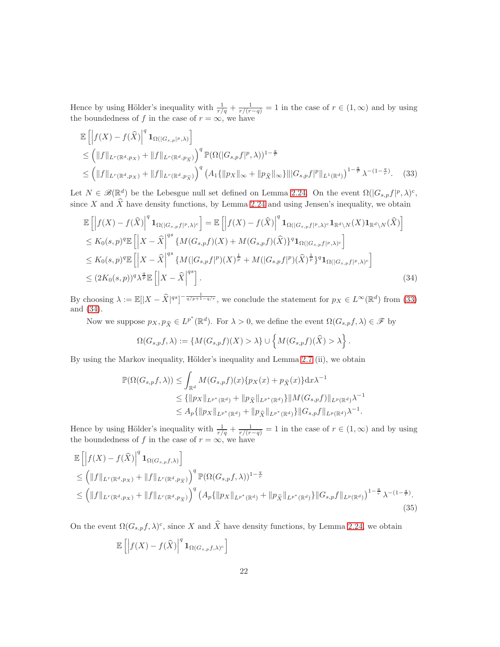Hence by using Hölder's inequality with  $\frac{1}{r/q} + \frac{1}{r/(r-q)} = 1$  in the case of  $r \in (1, \infty)$  and by using the boundedness of f in the case of  $r = \infty$ , we have

$$
\mathbb{E}\left[\left|f(X) - f(\hat{X})\right|^q \mathbf{1}_{\Omega(|G_{s,p}|^p,\lambda)}\right] \leq \left(\|f\|_{L^r(\mathbb{R}^d,p_X)} + \|f\|_{L^r(\mathbb{R}^d,p_{\hat{X}})}\right)^q \mathbb{P}(\Omega(|G_{s,p}f|^p,\lambda))^{1-\frac{q}{r}} \leq \left(\|f\|_{L^r(\mathbb{R}^d,p_X)} + \|f\|_{L^r(\mathbb{R}^d,p_{\hat{X}})}\right)^q \left(A_1\{\|p_X\|_{\infty} + \|p_{\hat{X}}\|_{\infty}\}\| |G_{s,p}f|^p\|_{L^1(\mathbb{R}^d)}\right)^{1-\frac{q}{r}}\lambda^{-(1-\frac{q}{r})}. \tag{33}
$$

Let  $N \in \mathscr{B}(\mathbb{R}^d)$  be the Lebesgue null set defined on Lemma [2.24.](#page-19-2) On the event  $\Omega(|G_{s,p}f|^p, \lambda)^c$ , since  $X$  and  $X$  have density functions, by Lemma [2.24](#page-19-2) and using Jensen's inequality, we obtain

$$
\mathbb{E}\left[\left|f(X) - f(\widehat{X})\right|^q \mathbf{1}_{\Omega(|G_{s,p}f|^p,\lambda)^c}\right] = \mathbb{E}\left[\left|f(X) - f(\widehat{X})\right|^q \mathbf{1}_{\Omega(|G_{s,p}f|^p,\lambda)^c} \mathbf{1}_{\mathbb{R}^d \backslash N}(X) \mathbf{1}_{\mathbb{R}^d \backslash N}(\widehat{X})\right]
$$
\n
$$
\leq K_0(s,p)^q \mathbb{E}\left[\left|X - \widehat{X}\right|^{qs} \left\{M(G_{s,p}f)(X) + M(G_{s,p}f)(\widehat{X})\right\}^q \mathbf{1}_{\Omega(|G_{s,p}f|^p,\lambda)^c}\right]
$$
\n
$$
\leq K_0(s,p)^q \mathbb{E}\left[\left|X - \widehat{X}\right|^{qs} \left\{M(|G_{s,p}f|^p)(X)^{\frac{1}{p}} + M(|G_{s,p}f|^p)(\widehat{X})^{\frac{1}{p}}\right\}^q \mathbf{1}_{\Omega(|G_{s,p}f|^p,\lambda)^c}\right]
$$
\n
$$
\leq (2K_0(s,p))^q \lambda^{\frac{q}{p}} \mathbb{E}\left[\left|X - \widehat{X}\right|^{qs}\right].
$$
\n(34)

By choosing  $\lambda := \mathbb{E}[|X - \widehat{X}|^{qs}]^{-\frac{1}{q/p+1-q/r}}$ , we conclude the statement for  $p_X \in L^{\infty}(\mathbb{R}^d)$  from [\(33\)](#page-21-0) and [\(34\)](#page-21-1).

Now we suppose  $p_X, p_{\hat{X}} \in L^{p^*}(\mathbb{R}^d)$ . For  $\lambda > 0$ , we define the event  $\Omega(G_{s,p}f, \lambda) \in \mathscr{F}$  by

<span id="page-21-1"></span><span id="page-21-0"></span>
$$
\Omega(G_{s,p}f,\lambda) := \{ M(G_{s,p}f)(X) > \lambda \} \cup \left\{ M(G_{s,p}f)(\widehat{X}) > \lambda \right\}.
$$

By using the Markov inequality, Hölder's inequality and Lemma 2.7 (ii), we obtain

$$
\mathbb{P}(\Omega(G_{s,p}f,\lambda)) \leq \int_{\mathbb{R}^d} M(G_{s,p}f)(x) \{p_X(x) + p_{\widehat{X}}(x)\} dx \lambda^{-1}
$$
  
\n
$$
\leq {\|p_X\|_{L^{p^*}(\mathbb{R}^d)} + \|p_{\widehat{X}}\|_{L^{p^*}(\mathbb{R}^d)}}\|M(G_{s,p}f)\|_{L^p(\mathbb{R}^d)}\lambda^{-1}
$$
  
\n
$$
\leq A_p {\|p_X\|_{L^{p^*}(\mathbb{R}^d)} + \|p_{\widehat{X}}\|_{L^{p^*}(\mathbb{R}^d)}}\|G_{s,p}f\|_{L^p(\mathbb{R}^d)}\lambda^{-1}.
$$

Hence by using Hölder's inequality with  $\frac{1}{r/q} + \frac{1}{r/(r-q)} = 1$  in the case of  $r \in (1, \infty)$  and by using the boundedness of f in the case of  $r = \infty$ , we have

$$
\mathbb{E}\left[\left|f(X) - f(\widehat{X})\right|^q \mathbf{1}_{\Omega(G_{s,p}f,\lambda)}\right] \leq \left(\|f\|_{L^r(\mathbb{R}^d,p_X)} + \|f\|_{L^r(\mathbb{R}^d,p_{\widehat{X}})}\right)^q \mathbb{P}(\Omega(G_{s,p}f,\lambda))^{1-\frac{q}{r}} \leq \left(\|f\|_{L^r(\mathbb{R}^d,p_X)} + \|f\|_{L^r(\mathbb{R}^d,p_{\widehat{X}})}\right)^q \left(A_p\{\|p_X\|_{L^{p^*}(\mathbb{R}^d)} + \|p_{\widehat{X}}\|_{L^{p^*}(\mathbb{R}^d)}\}\|G_{s,p}f\|_{L^p(\mathbb{R}^d)}\right)^{1-\frac{q}{r}} \lambda^{-(1-\frac{q}{r})}. \tag{35}
$$

On the event  $\Omega(G_{s,p}f,\lambda)^c$ , since X and  $\widehat{X}$  have density functions, by Lemma [2.24,](#page-19-2) we obtain

<span id="page-21-2"></span>
$$
\mathbb{E}\left[\left|f(X) - f(\widehat{X})\right|^q \mathbf{1}_{\Omega(G_{s,p}f,\lambda)^c}\right]
$$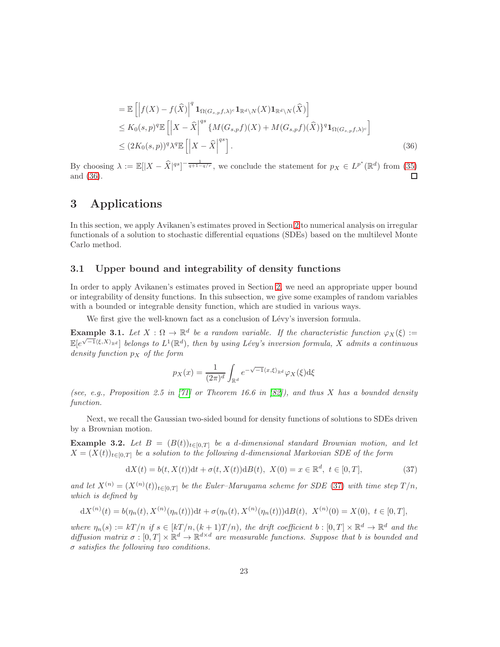<span id="page-22-1"></span>
$$
= \mathbb{E}\left[\left|f(X) - f(\widehat{X})\right|^q \mathbf{1}_{\Omega(G_{s,p}f,\lambda)^c} \mathbf{1}_{\mathbb{R}^d \setminus N}(X) \mathbf{1}_{\mathbb{R}^d \setminus N}(\widehat{X})\right] \leq K_0(s,p)^q \mathbb{E}\left[\left|X - \widehat{X}\right|^{qs} \{M(G_{s,p}f)(X) + M(G_{s,p}f)(\widehat{X})\}^q \mathbf{1}_{\Omega(G_{s,p}f,\lambda)^c}\right] \leq (2K_0(s,p))^q \lambda^q \mathbb{E}\left[\left|X - \widehat{X}\right|^{qs}\right].
$$
\n(36)

By choosing  $\lambda := \mathbb{E}[|X - \widehat{X}|^{qs}]^{-\frac{1}{q+1-q/r}}$ , we conclude the statement for  $p_X \in L^{p^*}(\mathbb{R}^d)$  from [\(35\)](#page-21-2) and [\(36\)](#page-22-1). П

# <span id="page-22-0"></span>3 Applications

In this section, we apply Avikanen's estimates proved in Section [2](#page-3-1) to numerical analysis on irregular functionals of a solution to stochastic differential equations (SDEs) based on the multilevel Monte Carlo method.

## 3.1 Upper bound and integrability of density functions

In order to apply Avikanen's estimates proved in Section [2,](#page-3-1) we need an appropriate upper bound or integrability of density functions. In this subsection, we give some examples of random variables with a bounded or integrable density function, which are studied in various ways.

We first give the well-known fact as a conclusion of Lévy's inversion formula.

**Example 3.1.** Let  $X : \Omega \to \mathbb{R}^d$  be a random variable. If the characteristic function  $\varphi_X(\xi) :=$  $\mathbb{E}[e^{\sqrt{-1}\langle\xi,X\rangle_{\mathbb{R}^d}}]$  belongs to  $L^1(\mathbb{R}^d)$ , then by using Lévy's inversion formula, X admits a continuous density function  $p<sub>x</sub>$  of the form

<span id="page-22-2"></span>
$$
p_X(x) = \frac{1}{(2\pi)^d} \int_{\mathbb{R}^d} e^{-\sqrt{-1} \langle x, \xi \rangle_{\mathbb{R}^d}} \varphi_X(\xi) d\xi
$$

(see, e.g., Proposition 2.5 in [\[71\]](#page-32-9) or Theorem 16.6 in [\[82\]](#page-33-0)), and thus X has a bounded density function.

Next, we recall the Gaussian two-sided bound for density functions of solutions to SDEs driven by a Brownian motion.

<span id="page-22-3"></span>Example 3.2. Let  $B = (B(t))_{t \in [0,T]}$  be a d-dimensional standard Brownian motion, and let  $X = (X(t))_{t \in [0,T]}$  be a solution to the following d-dimensional Markovian SDE of the form

$$
dX(t) = b(t, X(t))dt + \sigma(t, X(t))dB(t), \ X(0) = x \in \mathbb{R}^d, \ t \in [0, T],
$$
\n(37)

and let  $X^{(n)} = (X^{(n)}(t))_{t \in [0,T]}$  be the Euler-Maruyama scheme for SDE [\(37\)](#page-22-2) with time step  $T/n$ , which is defined by

$$
dX^{(n)}(t) = b(\eta_n(t), X^{(n)}(\eta_n(t)))dt + \sigma(\eta_n(t), X^{(n)}(\eta_n(t)))dB(t), X^{(n)}(0) = X(0), t \in [0, T],
$$

where  $\eta_n(s) := kT/n$  if  $s \in [kT/n, (k+1)T/n)$ , the drift coefficient  $b : [0, T] \times \mathbb{R}^d \to \mathbb{R}^d$  and the diffusion matrix  $\sigma : [0, T] \times \mathbb{R}^d \to \mathbb{R}^{d \times d}$  are measurable functions. Suppose that b is bounded and  $\sigma$  satisfies the following two conditions.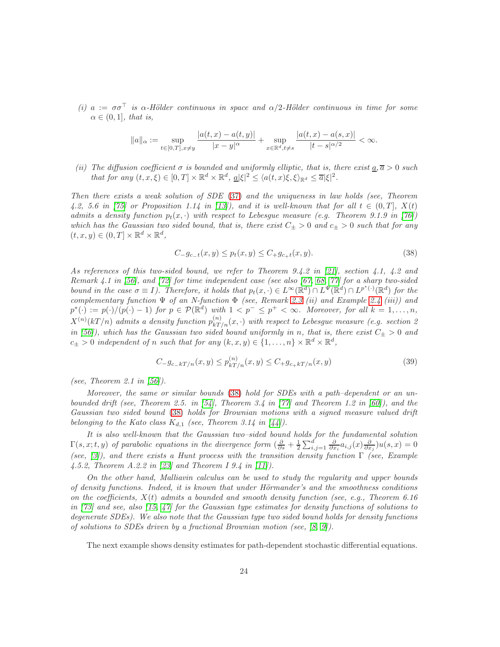(i)  $a := \sigma \sigma^{\top}$  is  $\alpha$ -Hölder continuous in space and  $\alpha/2$ -Hölder continuous in time for some  $\alpha \in (0,1]$ , that is,

$$
\|a\|_{\alpha} := \sup_{t \in [0,T], x \neq y} \frac{|a(t,x) - a(t,y)|}{|x - y|^{\alpha}} + \sup_{x \in \mathbb{R}^d, t \neq s} \frac{|a(t,x) - a(s,x)|}{|t - s|^{\alpha/2}} < \infty.
$$

(ii) The diffusion coefficient  $\sigma$  is bounded and uniformly elliptic, that is, there exist  $\underline{a}, \overline{a} > 0$  such that for any  $(t, x, \xi) \in [0, T] \times \mathbb{R}^d \times \mathbb{R}^d$ ,  $\underline{a} |\xi|^2 \leq \langle a(t, x)\xi, \xi \rangle_{\mathbb{R}^d} \leq \overline{a} |\xi|^2$ .

Then there exists a weak solution of SDE [\(37\)](#page-22-2) and the uniqueness in law holds (see, Theorem 4.2, 5.6 in [\[75\]](#page-32-10) or Proposition 1.14 in [\[13\]](#page-29-8)), and it is well-known that for all  $t \in (0,T]$ ,  $X(t)$ admits a density function  $p_t(x, \cdot)$  with respect to Lebesgue measure (e.g. Theorem 9.1.9 in [\[76\]](#page-32-11)) which has the Gaussian two sided bound, that is, there exist  $C_{\pm} > 0$  and  $c_{\pm} > 0$  such that for any  $(t, x, y) \in (0, T] \times \mathbb{R}^d \times \mathbb{R}^d$ ,

<span id="page-23-0"></span>
$$
C_{-}g_{c_{-}t}(x,y) \le p_t(x,y) \le C_{+}g_{c_{+}t}(x,y). \tag{38}
$$

As references of this two-sided bound, we refer to Theorem 9.4.2 in [\[21\]](#page-29-9), section 4.1, 4.2 and Remark 4.1 in  $[56]$ , and  $[72]$  for time independent case (see also  $[67, 68, 77]$  $[67, 68, 77]$  $[67, 68, 77]$  for a sharp two-sided bound in the case  $\sigma \equiv I$ ). Therefore, it holds that  $p_t(x, \cdot) \in L^{\infty}(\mathbb{R}^d) \cap L^{\Psi}(\mathbb{R}^d) \cap L^{p^*(\cdot)}(\mathbb{R}^d)$  for the complementary function  $\Psi$  of an N-function  $\Phi$  (see, Remark 2.3 (ii) and Example 2.4 (iii)) and  $p^*(\cdot) := p(\cdot)/(p(\cdot) - 1)$  for  $p \in \mathcal{P}(\mathbb{R}^d)$  with  $1 < p^- \le p^+ < \infty$ . Moreover, for all  $k = 1, \ldots, n$ ,  $X^{(n)}(kT/n)$  admits a density function  $p_{kT/n}^{(n)}(x, \cdot)$  with respect to Lebesgue measure (e.g. section 2) in [\[56\]](#page-31-6)), which has the Gaussian two sided bound uniformly in n, that is, there exist  $C_{\pm} > 0$  and  $c_{\pm} > 0$  independent of n such that for any  $(k, x, y) \in \{1, ..., n\} \times \mathbb{R}^d \times \mathbb{R}^d$ ,

<span id="page-23-1"></span>
$$
C_{-}g_{c_{-}kT/n}(x,y) \le p_{kT/n}^{(n)}(x,y) \le C_{+}g_{c_{+}kT/n}(x,y)
$$
\n(39)

(see, Theorem 2.1 in  $[56]$ ).

Moreover, the same or similar bounds [\(38\)](#page-23-0) hold for SDEs with a path–dependent or an unbounded drift (see, Theorem 2.5. in  $[54]$ , Theorem 3.4 in [\[77\]](#page-32-15) and Theorem 1.2 in [\[60\]](#page-31-8)), and the Gaussian two sided bound [\(38\)](#page-23-0) holds for Brownian motions with a signed measure valued drift belonging to the Kato class  $K_{d,1}$  (see, Theorem 3.14 in [\[44\]](#page-30-15)).

It is also well-known that the Gaussian two–sided bound holds for the fundamental solution  $\Gamma(s,x;t,y)$  of parabolic equations in the divergence form  $\left(\frac{\partial}{\partial s} + \frac{1}{2} \sum_{i,j=1}^d \frac{\partial}{\partial x_i} a_{i,j}(x) \frac{\partial}{\partial x_j}\right) u(s,x) = 0$ (see, [\[3\]](#page-28-5)), and there exists a Hunt process with the transition density function  $\Gamma$  (see, Example 4.5.2, Theorem A.2.2 in [\[23\]](#page-29-10) and Theorem I 9.4 in [\[11\]](#page-29-11)).

On the other hand, Malliavin calculus can be used to study the regularity and upper bounds of density functions. Indeed, it is known that under Hörmander's and the smoothness conditions on the coefficients,  $X(t)$  admits a bounded and smooth density function (see, e.g., Theorem 6.16) in  $[73]$  and see, also  $[15, 47]$  $[15, 47]$  for the Gaussian type estimates for density functions of solutions to degenerate SDEs). We also note that the Gaussian type two sided bound holds for density functions of solutions to SDEs driven by a fractional Brownian motion (see,  $(8, 9)$ ).

The next example shows density estimates for path-dependent stochastic differential equations.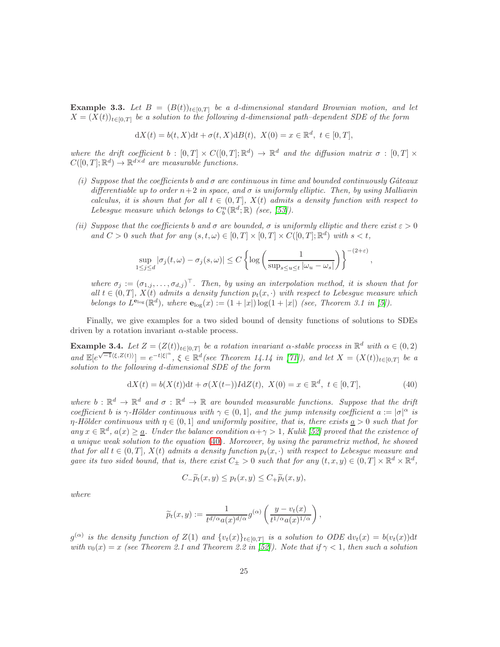Example 3.3. Let  $B = (B(t))_{t \in [0,T]}$  be a d-dimensional standard Brownian motion, and let  $X = (X(t))_{t \in [0,T]}$  be a solution to the following d-dimensional path–dependent SDE of the form

$$
dX(t) = b(t, X)dt + \sigma(t, X)dB(t), \ X(0) = x \in \mathbb{R}^d, \ t \in [0, T],
$$

where the drift coefficient  $b : [0, T] \times C([0, T]; \mathbb{R}^d) \to \mathbb{R}^d$  and the diffusion matrix  $\sigma : [0, T] \times C([0, T]; \mathbb{R}^d)$  $C([0,T];\mathbb{R}^d) \to \mathbb{R}^{d \times d}$  are measurable functions.

- (i) Suppose that the coefficients b and  $\sigma$  are continuous in time and bounded continuously Gâteaux differentiable up to order  $n+2$  in space, and  $\sigma$  is uniformly elliptic. Then, by using Malliavin calculus, it is shown that for all  $t \in (0,T]$ ,  $X(t)$  admits a density function with respect to Lebesgue measure which belongs to  $C_b^n(\mathbb{R}^d;\mathbb{R})$  (see, [\[53\]](#page-31-10)).
- (ii) Suppose that the coefficients b and  $\sigma$  are bounded,  $\sigma$  is uniformly elliptic and there exist  $\varepsilon > 0$ and  $C > 0$  such that for any  $(s, t, \omega) \in [0, T] \times [0, T] \times C([0, T]; \mathbb{R}^d)$  with  $s < t$ ,

$$
\sup_{1 \le j \le d} |\sigma_j(t, \omega) - \sigma_j(s, \omega)| \le C \left\{ \log \left( \frac{1}{\sup_{s \le u \le t} |\omega_u - \omega_s|} \right) \right\}^{-(2+\varepsilon)}
$$

<span id="page-24-0"></span>,

where  $\sigma_j := (\sigma_{1,j}, \ldots, \sigma_{d,j})^\top$ . Then, by using an interpolation method, it is shown that for all  $t \in (0,T]$ ,  $X(t)$  admits a density function  $p_t(x, \cdot)$  with respect to Lebesgue measure which belongs to  $L^{\mathbf{e}_{\log} } (\mathbb{R}^d)$ , where  $\mathbf{e}_{\log}(x) := (1+|x|) \log(1+|x|)$  (see, Theorem 3.1 in [\[5\]](#page-28-8)).

Finally, we give examples for a two sided bound of density functions of solutions to SDEs driven by a rotation invariant  $\alpha$ -stable process.

**Example 3.4.** Let  $Z = (Z(t))_{t \in [0,T]}$  be a rotation invariant  $\alpha$ -stable process in  $\mathbb{R}^d$  with  $\alpha \in (0,2)$ and  $\mathbb{E}[e^{\sqrt{-1}\langle\xi,Z(t)\rangle}] = e^{-t|\xi|^{\alpha}}, \xi \in \mathbb{R}^d$  (see Theorem 14.14 in [\[71\]](#page-32-9)), and let  $X = (X(t))_{t \in [0,T]}$  be a solution to the following d-dimensional SDE of the form

$$
dX(t) = b(X(t))dt + \sigma(X(t-))IdZ(t), \ X(0) = x \in \mathbb{R}^d, \ t \in [0, T], \tag{40}
$$

where  $b : \mathbb{R}^d \to \mathbb{R}^d$  and  $\sigma : \mathbb{R}^d \to \mathbb{R}$  are bounded measurable functions. Suppose that the drift coefficient b is  $\gamma$ -Hölder continuous with  $\gamma \in (0,1]$ , and the jump intensity coefficient  $a := |\sigma|^{\alpha}$  is η-Hölder continuous with  $\eta \in (0, 1]$  and uniformly positive, that is, there exists  $\underline{a} > 0$  such that for any  $x \in \mathbb{R}^d$ ,  $a(x) \geq \underline{a}$ . Under the balance condition  $\alpha + \gamma > 1$ , Kulik [\[52\]](#page-31-11) proved that the existence of a unique weak solution to the equation [\(40\)](#page-24-0). Moreover, by using the parametrix method, he showed that for all  $t \in (0, T]$ ,  $X(t)$  admits a density function  $p_t(x, \cdot)$  with respect to Lebesque measure and gave its two sided bound, that is, there exist  $C_{\pm} > 0$  such that for any  $(t, x, y) \in (0, T] \times \mathbb{R}^d \times \mathbb{R}^d$ ,

$$
C_{-}\widetilde{p}_t(x,y) \leq p_t(x,y) \leq C_{+}\widetilde{p}_t(x,y),
$$

where

$$
\widetilde{p}_t(x,y):=\frac{1}{t^{d/\alpha}a(x)^{d/\alpha}}g^{(\alpha)}\left(\frac{y-v_t(x)}{t^{1/\alpha}a(x)^{1/\alpha}}\right),
$$

 $g^{(\alpha)}$  is the density function of  $Z(1)$  and  $\{v_t(x)\}_{t\in[0,T]}$  is a solution to ODE  $dv_t(x) = b(v_t(x))dt$ with  $v_0(x) = x$  (see Theorem 2.1 and Theorem 2.2 in [\[52\]](#page-31-11)). Note that if  $\gamma < 1$ , then such a solution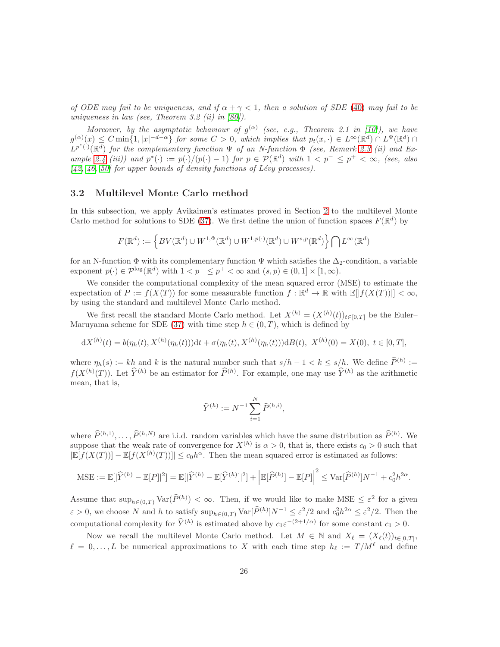of ODE may fail to be uniqueness, and if  $\alpha + \gamma < 1$ , then a solution of SDE [\(40\)](#page-24-0) may fail to be uniqueness in law (see, Theorem 3.2 (ii) in  $[80]$ ).

Moreover, by the asymptotic behaviour of  $g^{(\alpha)}$  (see, e.g., Theorem 2.1 in [\[10\]](#page-29-13)), we have  $g^{(\alpha)}(x) \leq C \min\{1, |x|^{-d-\alpha}\}$  for some  $C > 0$ , which implies that  $p_t(x, \cdot) \in L^{\infty}(\mathbb{R}^d) \cap L^{\Psi}(\mathbb{R}^d)$  $L^{p^*(1)}(\mathbb{R}^d)$  for the complementary function  $\Psi$  of an N-function  $\Phi$  (see, Remark 2.3 (ii) and Example 2.4 (iii)) and  $p^*(\cdot) := p(\cdot)/(p(\cdot) - 1)$  for  $p \in \mathcal{P}(\mathbb{R}^d)$  with  $1 \leq p^- \leq p^+ < \infty$ , (see, also  $[42, 46, 50]$  $[42, 46, 50]$  $[42, 46, 50]$  for upper bounds of density functions of Lévy processes).

#### 3.2 Multilevel Monte Carlo method

In this subsection, we apply Avikainen's estimates proved in Section [2](#page-3-1) to the multilevel Monte Carlo method for solutions to SDE [\(37\)](#page-22-2). We first define the union of function spaces  $F(\mathbb{R}^d)$  by

$$
F(\mathbb{R}^d):=\Big\{BV(\mathbb{R}^d)\cup W^{1,\Phi}(\mathbb{R}^d)\cup W^{1,p(\cdot)}(\mathbb{R}^d)\cup W^{s,p}(\mathbb{R}^d)\Big\}\bigcap L^\infty(\mathbb{R}^d)
$$

for an N-function  $\Phi$  with its complementary function  $\Psi$  which satisfies the  $\Delta_2$ -condition, a variable exponent  $p(\cdot) \in \mathcal{P}^{\log}(\mathbb{R}^d)$  with  $1 < p^- \leq p^+ < \infty$  and  $(s, p) \in (0, 1] \times [1, \infty)$ .

We consider the computational complexity of the mean squared error (MSE) to estimate the expectation of  $P := f(X(T))$  for some measurable function  $f : \mathbb{R}^d \to \mathbb{R}$  with  $\mathbb{E}[|f(X(T))|] < \infty$ , by using the standard and multilevel Monte Carlo method.

We first recall the standard Monte Carlo method. Let  $X^{(h)} = (X^{(h)}(t))_{t \in [0,T]}$  be the Euler-Maruyama scheme for SDE [\(37\)](#page-22-2) with time step  $h \in (0, T)$ , which is defined by

$$
dX^{(h)}(t) = b(\eta_h(t), X^{(h)}(\eta_h(t)))dt + \sigma(\eta_h(t), X^{(h)}(\eta_h(t)))dB(t), X^{(h)}(0) = X(0), t \in [0, T],
$$

where  $\eta_h(s) := kh$  and k is the natural number such that  $s/h - 1 < k \leq s/h$ . We define  $\hat{P}^{(h)} :=$  $f(X^{(h)}(T))$ . Let  $\hat{Y}^{(h)}$  be an estimator for  $\hat{P}^{(h)}$ . For example, one may use  $\hat{Y}^{(h)}$  as the arithmetic mean, that is,

$$
\widehat{Y}^{(h)} := N^{-1} \sum_{i=1}^{N} \widehat{P}^{(h,i)},
$$

where  $\hat{P}^{(h,1)}, \ldots, \hat{P}^{(h,N)}$  are i.i.d. random variables which have the same distribution as  $\hat{P}^{(h)}$ . We suppose that the weak rate of convergence for  $X^{(h)}$  is  $\alpha > 0$ , that is, there exists  $c_0 > 0$  such that  $|\mathbb{E}[f(X(T))] - \mathbb{E}[f(X^{(h)}(T))]|\le c_0 h^{\alpha}$ . Then the mean squared error is estimated as follows:

$$
\text{MSE} := \mathbb{E}[|\widehat{Y}^{(h)} - \mathbb{E}[P]|^2] = \mathbb{E}[|\widehat{Y}^{(h)} - \mathbb{E}[\widehat{Y}^{(h)}]|^2] + \left|\mathbb{E}[\widehat{P}^{(h)}] - \mathbb{E}[P]\right|^2 \leq \text{Var}[\widehat{P}^{(h)}]N^{-1} + c_0^2 h^{2\alpha}.
$$

Assume that  $\sup_{h \in (0,T)} \text{Var}(\hat{P}^{(h)}) < \infty$ . Then, if we would like to make MSE  $\leq \varepsilon^2$  for a given  $\varepsilon > 0$ , we choose N and h to satisfy  $\sup_{h \in (0,T)} \text{Var}[\widehat{P}^{(h)}]N^{-1} \leq \varepsilon^2/2$  and  $c_0^2 h^{2\alpha} \leq \varepsilon^2/2$ . Then the computational complexity for  $\hat{Y}^{(h)}$  is estimated above by  $c_1 \varepsilon^{-(2+1/\alpha)}$  for some constant  $c_1 > 0$ .

Now we recall the multilevel Monte Carlo method. Let  $M \in \mathbb{N}$  and  $X_{\ell} = (X_{\ell}(t))_{t \in [0,T]},$  $\ell = 0, \ldots, L$  be numerical approximations to X with each time step  $h_{\ell} := T/M^{\ell}$  and define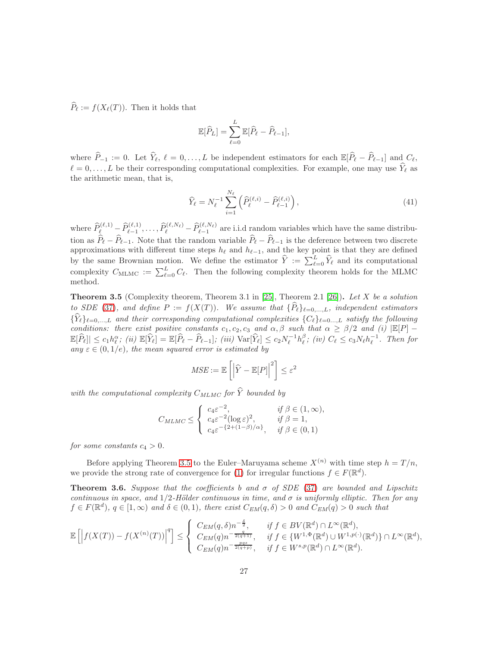$\widehat{P}_\ell := f(X_\ell(T))$ . Then it holds that

$$
\mathbb{E}[\widehat{P}_L] = \sum_{\ell=0}^L \mathbb{E}[\widehat{P}_\ell - \widehat{P}_{\ell-1}],
$$

where  $\widehat{P}_{-1} := 0$ . Let  $\widehat{Y}_{\ell}, \ell = 0, \ldots, L$  be independent estimators for each  $\mathbb{E}[\widehat{P}_{\ell} - \widehat{P}_{\ell-1}]$  and  $C_{\ell}$ ,  $\ell = 0, \ldots, L$  be their corresponding computational complexities. For example, one may use  $\hat{Y}_\ell$  as the arithmetic mean, that is,

<span id="page-26-2"></span>
$$
\widehat{Y}_{\ell} = N_{\ell}^{-1} \sum_{i=1}^{N_{\ell}} \left( \widehat{P}_{\ell}^{(\ell,i)} - \widehat{P}_{\ell-1}^{(\ell,i)} \right), \tag{41}
$$

where  $\widehat{P}_{\ell}^{(\ell,1)} - \widehat{P}_{\ell-1}^{(\ell,1)}, \ldots, \widehat{P}_{\ell}^{(\ell,N_{\ell})} - \widehat{P}_{\ell-1}^{(\ell,N_{\ell})}$  are i.i.d random variables which have the same distribution as  $\tilde{P}_{\ell} - \tilde{P}_{\ell-1}$ . Note that the random variable  $\tilde{P}_{\ell} - \tilde{P}_{\ell-1}$  is the deference between two discrete approximations with different time steps  $h_{\ell}$  and  $h_{\ell-1}$ , and the key point is that they are defined by the same Brownian motion. We define the estimator  $\hat{Y} := \sum_{\ell=0}^{L} \hat{Y}_{\ell}$  and its computational complexity  $C_{\text{MLMC}} := \sum_{\ell=0}^{L} C_{\ell}$ . Then the following complexity theorem holds for the MLMC method.

<span id="page-26-1"></span>**Theorem 3.5** (Complexity theorem, Theorem 3.1 in [\[25\]](#page-29-1), Theorem 2.1 [\[26\]](#page-29-14)). Let X be a solution to SDE [\(37\)](#page-22-2), and define  $P := f(X(T))$ . We assume that  $\{\widehat{P}_\ell\}_{\ell=0,\ldots,L}$ , independent estimators  ${\{\widehat{Y}_{\ell}\}}_{\ell=0,\ldots,L}$  and their corresponding computational complexities  ${C_{\ell}\}}_{\ell=0,\ldots,L}$  satisfy the following conditions: there exist positive constants  $c_1, c_2, c_3$  and  $\alpha, \beta$  such that  $\alpha \geq \beta/2$  and (i)  $\mathbb{E}[P]$  –  $\mathbb{E}[\widehat{P}_{\ell}] \leq c_1 h_{\ell}^{\alpha}$ ; (ii)  $\mathbb{E}[\widehat{Y}_{\ell}] = \mathbb{E}[\widehat{P}_{\ell} - \widehat{P}_{\ell-1}]$ ; (iii)  $\text{Var}[\widehat{Y}_{\ell}] \leq c_2 N_{\ell}^{-1} h_{\ell}^{\beta}$ ; (iv)  $C_{\ell} \leq c_3 N_{\ell} h_{\ell}^{-1}$ . Then for any  $\varepsilon \in (0, 1/e)$ , the mean squared error is estimated by

$$
MSE := \mathbb{E}\left[\left|\widehat{Y} - \mathbb{E}[P]\right|^2\right] \leq \varepsilon^2
$$

with the computational complexity  $C_{MLMC}$  for  $\hat{Y}$  bounded by

$$
C_{MLMC} \leq \begin{cases} c_4 \varepsilon^{-2}, & \text{if } \beta \in (1, \infty), \\ c_4 \varepsilon^{-2} (\log \varepsilon)^2, & \text{if } \beta = 1, \\ c_4 \varepsilon^{-\{2 + (1 - \beta)/\alpha\}}, & \text{if } \beta \in (0, 1) \end{cases}
$$

for some constants  $c_4 > 0$ .

Before applying Theorem [3.5](#page-26-1) to the Euler–Maruyama scheme  $X^{(n)}$  with time step  $h = T/n$ , we provide the strong rate of convergence for [\(1\)](#page-1-0) for irregular functions  $f \in F(\mathbb{R}^d)$ .

<span id="page-26-0"></span>**Theorem 3.6.** Suppose that the coefficients b and  $\sigma$  of SDE [\(37\)](#page-22-2) are bounded and Lipschitz continuous in space, and  $1/2$ -Hölder continuous in time, and  $\sigma$  is uniformly elliptic. Then for any  $f \in F(\mathbb{R}^d)$ ,  $q \in [1,\infty)$  and  $\delta \in (0,1)$ , there exist  $C_{EM}(q, \delta) > 0$  and  $C_{EM}(q) > 0$  such that

$$
\mathbb{E}\left[\left|f(X(T))-f(X^{(n)}(T))\right|^q\right] \leq \left\{\begin{array}{ll} C_{EM}(q,\delta)n^{-\frac{\delta}{2}}, & \text{if } f \in BV(\mathbb{R}^d) \cap L^{\infty}(\mathbb{R}^d), \\ C_{EM}(q)n^{-\frac{q}{2(q+1)}}, & \text{if } f \in \{W^{1,\Phi}(\mathbb{R}^d) \cup W^{1,p(\cdot)}(\mathbb{R}^d)\} \cap L^{\infty}(\mathbb{R}^d), \\ C_{EM}(q)n^{-\frac{pqs}{2(q+p)}}, & \text{if } f \in W^{s,p}(\mathbb{R}^d) \cap L^{\infty}(\mathbb{R}^d). \end{array}\right.
$$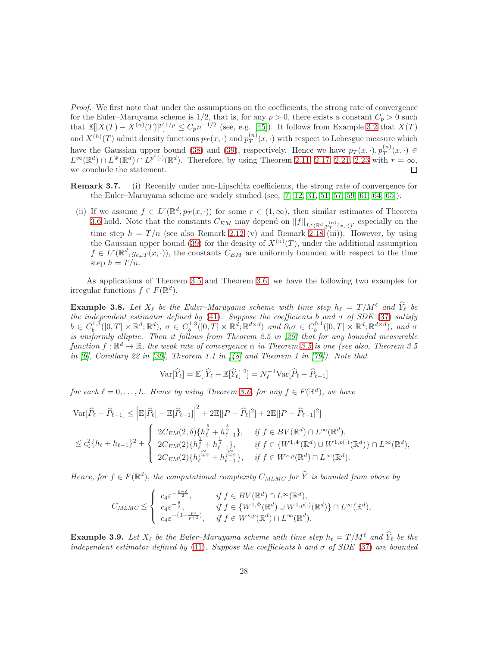Proof. We first note that under the assumptions on the coefficients, the strong rate of convergence for the Euler–Maruyama scheme is  $1/2$ , that is, for any  $p > 0$ , there exists a constant  $C_p > 0$  such that  $\mathbb{E}[|X(T) - X^{(n)}(T)|^p]^{1/p} \leq C_p n^{-1/2}$  (see, e.g. [\[45\]](#page-30-0)). It follows from Example [3.2](#page-22-3) that  $X(T)$ and  $X^{(h)}(T)$  admit density functions  $p_T(x, \cdot)$  and  $p_T^{(n)}$  $T^{(n)}(x, \cdot)$  with respect to Lebesgue measure which have the Gaussian upper bound [\(38\)](#page-23-0) and [\(39\)](#page-23-1), respectively. Hence we have  $p_T(x, \cdot), p_T^{(n)}(x, \cdot) \in$  $L^{\infty}(\mathbb{R}^d) \cap L^{\Psi}(\mathbb{R}^d) \cap L^{p^*(.)}(\mathbb{R}^d)$ . Therefore, by using Theorem [2.11,](#page-10-0) [2.17,](#page-15-0) [2.21,](#page-18-0) [2.23](#page-19-0) with  $r = \infty$ , we conclude the statement.

- Remark 3.7. (i) Recently under non-Lipschitz coefficients, the strong rate of convergence for the Euler–Maruyama scheme are widely studied (see, [\[7,](#page-28-2) [12,](#page-29-0) [31,](#page-30-3) [51,](#page-31-14) [57,](#page-31-2) [59,](#page-31-3) [61,](#page-31-4) [64,](#page-32-1) [65\]](#page-32-2)).
- (ii) If we assume  $f \in L^r(\mathbb{R}^d, p_T(x, \cdot))$  for some  $r \in (1, \infty)$ , then similar estimates of Theorem [3.6](#page-26-0) hold. Note that the constants  $C_{EM}$  may depend on  $||f||_{L^r(\mathbb{R}^d, p_T^{(n)}(x,\cdot))}$ , especially on the time step  $h = T/n$  (see also Remark 2.12 (v) and Remark 2.18 (iii)). However, by using the Gaussian upper bound [\(39\)](#page-23-1) for the density of  $X^{(n)}(T)$ , under the additional assumption  $f \in L^r(\mathbb{R}^d, g_{c+T}(x, \cdot)),$  the constants  $C_{EM}$  are uniformly bounded with respect to the time step  $h = T/n$ .

As applications of Theorem [3.5](#page-26-1) and Theorem [3.6,](#page-26-0) we have the following two examples for irregular functions  $f \in F(\mathbb{R}^d)$ .

**Example 3.8.** Let  $X_{\ell}$  be the Euler–Maruyama scheme with time step  $h_{\ell} = T/M^{\ell}$  and  $\hat{Y}_{\ell}$  be the independent estimator defined by [\(41\)](#page-26-2). Suppose the coefficients b and  $\sigma$  of SDE [\(37\)](#page-22-2) satisfy  $b \in C_b^{1,3}([0,T] \times \mathbb{R}^d; \mathbb{R}^d)$ ,  $\sigma \in C_b^{1,3}([0,T] \times \mathbb{R}^d; \mathbb{R}^{d \times d})$  and  $\partial_t \sigma \in C_b^{0,1}([0,T] \times \mathbb{R}^d; \mathbb{R}^{d \times d})$ , and  $\sigma$ is uniformly elliptic. Then it follows from Theorem 2.5 in [\[29\]](#page-30-1) that for any bounded measurable function  $f : \mathbb{R}^d \to \mathbb{R}$ , the weak rate of convergence  $\alpha$  in Theorem [3.5](#page-26-1) is one (see also, Theorem 3.5 in  $[6]$ , Corollary 22 in [\[30\]](#page-30-2), Theorem 1.1 in [\[48\]](#page-31-0) and Theorem 1 in [\[79\]](#page-32-0)). Note that

$$
\text{Var}[\widehat{Y}_{\ell}] = \mathbb{E}[|\widehat{Y}_{\ell} - \mathbb{E}[\widehat{Y}_{\ell}]|^2] = N_{\ell}^{-1} \text{Var}[\widehat{P}_{\ell} - \widehat{P}_{\ell-1}]
$$

for each  $\ell = 0, \ldots, L$ . Hence by using Theorem [3.6,](#page-26-0) for any  $f \in F(\mathbb{R}^d)$ , we have

$$
\begin{split} &\text{Var}[\hat{P}_{\ell} - \hat{P}_{\ell-1}] \leq \left| \mathbb{E}[\hat{P}_{\ell}] - \mathbb{E}[\hat{P}_{\ell-1}] \right|^{2} + 2 \mathbb{E}[|P - \hat{P}_{\ell}|^{2}] + 2 \mathbb{E}[|P - \hat{P}_{\ell-1}|^{2}] \\ &\leq c_{0}^{2} \{h_{\ell} + h_{\ell-1}\}^{2} + \left\{ \begin{array}{ll} 2C_{EM}(2, \delta) \{h_{\ell}^{\frac{\delta}{2}} + h_{\ell-1}^{\frac{\delta}{2}}\}, & \text{if } f \in BV(\mathbb{R}^{d}) \cap L^{\infty}(\mathbb{R}^{d}), \\ 2C_{EM}(2) \{h_{\ell}^{\frac{1}{8}} + h_{\ell-1}^{\frac{1}{3}}\}, & \text{if } f \in \{W^{1, \Phi}(\mathbb{R}^{d}) \cup W^{1, p(\cdot)}(\mathbb{R}^{d})\} \cap L^{\infty}(\mathbb{R}^{d}), \\ 2C_{EM}(2) \{h_{\ell}^{\frac{ps}{p+2}} + h_{\ell-1}^{\frac{ps}{p+2}}\}, & \text{if } f \in W^{s, p}(\mathbb{R}^{d}) \cap L^{\infty}(\mathbb{R}^{d}). \end{split} \right\} \end{split}
$$

Hence, for  $f \in F(\mathbb{R}^d)$ , the computational complexity  $C_{MLMC}$  for  $\hat{Y}$  is bounded from above by

$$
C_{MLMC} \leq \begin{cases} c_4 \varepsilon^{-\frac{6-\delta}{2}}, & \text{if } f \in BV(\mathbb{R}^d) \cap L^{\infty}(\mathbb{R}^d), \\ c_4 \varepsilon^{-\frac{8}{3}}, & \text{if } f \in \{W^{1,\Phi}(\mathbb{R}^d) \cup W^{1,p(\cdot)}(\mathbb{R}^d)\} \cap L^{\infty}(\mathbb{R}^d), \\ c_4 \varepsilon^{-(3-\frac{ps}{p+2})}, & \text{if } f \in W^{s,p}(\mathbb{R}^d) \cap L^{\infty}(\mathbb{R}^d). \end{cases}
$$

**Example 3.9.** Let  $X_{\ell}$  be the Euler–Maruyama scheme with time step  $h_{\ell} = T/M^{\ell}$  and  $\hat{Y}_{\ell}$  be the independent estimator defined by [\(41\)](#page-26-2). Suppose the coefficients b and  $\sigma$  of SDE [\(37\)](#page-22-2) are bounded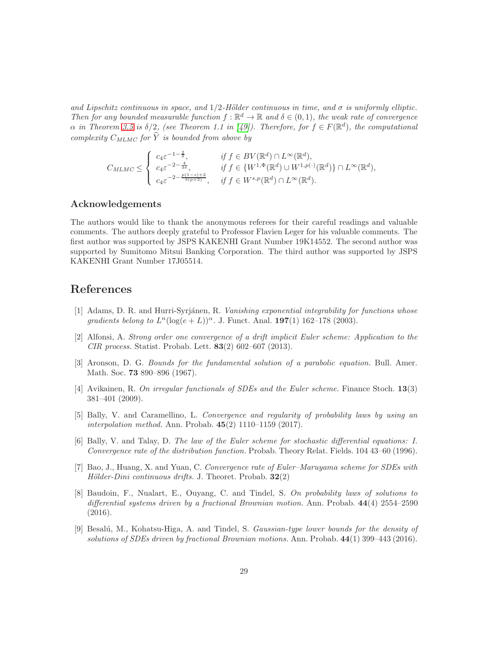and Lipschitz continuous in space, and  $1/2$ -Hölder continuous in time, and  $\sigma$  is uniformly elliptic. Then for any bounded measurable function  $f : \mathbb{R}^d \to \mathbb{R}$  and  $\delta \in (0,1)$ , the weak rate of convergence  $\alpha$  in Theorem [3.5](#page-26-1) is  $\delta/2$ , (see Theorem 1.1 in [\[49\]](#page-31-1)). Therefore, for  $f \in F(\mathbb{R}^d)$ , the computational complexity  $C_{MLMC}$  for  $\hat{Y}$  is bounded from above by

$$
C_{MLMC} \leq \begin{cases} c_4 \varepsilon^{-1-\frac{2}{\delta}}, & \text{if } f \in BV(\mathbb{R}^d) \cap L^{\infty}(\mathbb{R}^d), \\ c_4 \varepsilon^{-2-\frac{4}{3\delta}}, & \text{if } f \in \{W^{1,\Phi}(\mathbb{R}^d) \cup W^{1,p(\cdot)}(\mathbb{R}^d)\} \cap L^{\infty}(\mathbb{R}^d), \\ c_4 \varepsilon^{-2-\frac{p(1-s)+2}{\delta(p+2)}}, & \text{if } f \in W^{s,p}(\mathbb{R}^d) \cap L^{\infty}(\mathbb{R}^d). \end{cases}
$$

#### Acknowledgements

The authors would like to thank the anonymous referees for their careful readings and valuable comments. The authors deeply grateful to Professor Flavien Leger for his valuable comments. The first author was supported by JSPS KAKENHI Grant Number 19K14552. The second author was supported by Sumitomo Mitsui Banking Corporation. The third author was supported by JSPS KAKENHI Grant Number 17J05514.

# <span id="page-28-4"></span>References

- [1] Adams, D. R. and Hurri-Syrjánen, R. Vanishing exponential integrability for functions whose gradients belong to  $L^{n}(\log(e+L))^{\alpha}$ . J. Funct. Anal. **197**(1) 162-178 (2003).
- <span id="page-28-3"></span>[2] Alfonsi, A. Strong order one convergence of a drift implicit Euler scheme: Application to the CIR process. Statist. Probab. Lett. 83(2) 602–607 (2013).
- <span id="page-28-5"></span>[3] Aronson, D. G. Bounds for the fundamental solution of a parabolic equation. Bull. Amer. Math. Soc. 73 890–896 (1967).
- <span id="page-28-0"></span>[4] Avikainen, R. On irregular functionals of SDEs and the Euler scheme. Finance Stoch. 13(3) 381–401 (2009).
- <span id="page-28-8"></span>[5] Bally, V. and Caramellino, L. Convergence and regularity of probability laws by using an interpolation method. Ann. Probab. 45(2) 1110–1159 (2017).
- <span id="page-28-1"></span>[6] Bally, V. and Talay, D. The law of the Euler scheme for stochastic differential equations: I. Convergence rate of the distribution function. Probab. Theory Relat. Fields. 104 43–60 (1996).
- <span id="page-28-2"></span>[7] Bao, J., Huang, X. and Yuan, C. Convergence rate of Euler–Maruyama scheme for SDEs with Hölder-Dini continuous drifts. J. Theoret. Probab.  $32(2)$
- <span id="page-28-6"></span>[8] Baudoin, F., Nualart, E., Ouyang, C. and Tindel, S. On probability laws of solutions to differential systems driven by a fractional Brownian motion. Ann. Probab. 44(4) 2554–2590 (2016).
- <span id="page-28-7"></span>[9] Besalú, M., Kohatsu-Higa, A. and Tindel, S. *Gaussian-type lower bounds for the density of* solutions of SDEs driven by fractional Brownian motions. Ann. Probab. 44(1) 399–443 (2016).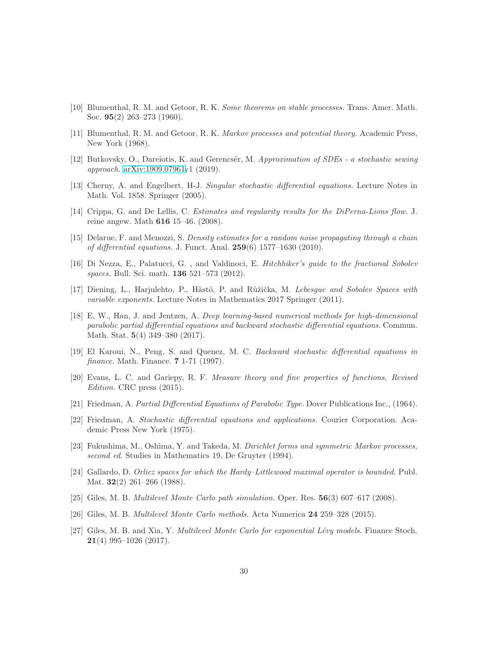- <span id="page-29-13"></span>[10] Blumenthal, R. M. and Getoor, R. K. Some theorems on stable processes. Trans. Amer. Math. Soc. 95(2) 263–273 (1960).
- <span id="page-29-11"></span><span id="page-29-0"></span>[11] Blumenthal, R. M. and Getoor, R. K. Markov processes and potential theory. Academic Press, New York (1968).
- [12] Butkovsky, O., Dareiotis, K. and Gerencsér, M. Approximation of SDEs a stochastic sewing approach. [arXiv:1909.07961v](http://arxiv.org/abs/1909.07961)1 (2019).
- <span id="page-29-8"></span>[13] Cherny, A. and Engelbert, H-J. Singular stochastic differential equations. Lecture Notes in Math. Vol. 1858. Springer (2005).
- <span id="page-29-12"></span><span id="page-29-6"></span>[14] Crippa, G. and De Lellis, C. Estimates and regularity results for the DiPerna-Lions flow. J. reine angew. Math 616 15–46. (2008).
- [15] Delarue, F. and Menozzi, S. Density estimates for a random noise propagating through a chain of differential equations. J. Funct. Anal. 259(6) 1577–1630 (2010).
- <span id="page-29-5"></span>[16] Di Nezza, E., Palatucci, G. , and Valdinoci, E. Hitchhiker's guide to the fractional Sobolev spaces. Bull. Sci. math. **136** 521–573 (2012).
- <span id="page-29-4"></span>[17] Diening, L., Harjulehto, P., Hästö, P. and Růžička, M. Lebesque and Sobolev Spaces with variable exponents. Lecture Notes in Mathematics 2017 Springer (2011).
- [18] E, W., Han, J. and Jentzen, A. Deep learning-based numerical methods for high-dimensional parabolic partial differential equations and backward stochastic differential equations. Commun. Math. Stat. 5(4) 349–380 (2017).
- [19] El Karoui, N., Peng, S. and Quenez, M. C. Backward stochastic differential equations in finance. Math. Finance. 7 1-71 (1997).
- <span id="page-29-3"></span>[20] Evans, L. C. and Gariepy, R. F. Measure theory and fine properties of functions, Revised Edition. CRC press (2015).
- <span id="page-29-9"></span>[21] Friedman, A. Partial Differential Equations of Parabolic Type. Dover Publications Inc., (1964).
- [22] Friedman, A. Stochastic differential equations and applications. Courier Corporation. Academic Press New York (1975).
- <span id="page-29-10"></span>[23] Fukushima, M., Oshima, Y. and Takeda, M. Dirichlet forms and symmetric Markov processes, second ed. Studies in Mathematics 19, De Gruyter (1994).
- <span id="page-29-7"></span>[24] Gallardo, D. Orlicz spaces for which the Hardy–Littlewood maximal operator is bounded. Publ. Mat. **32**(2) 261–266 (1988).
- <span id="page-29-14"></span><span id="page-29-1"></span>[25] Giles, M. B. Multilevel Monte Carlo path simulation. Oper. Res. 56(3) 607–617 (2008).
- <span id="page-29-2"></span>[26] Giles, M. B. Multilevel Monte Carlo methods. Acta Numerica 24 259–328 (2015).
- [27] Giles, M. B. and Xia, Y. *Multilevel Monte Carlo for exponential Lévy models.* Finance Stoch. 21(4) 995–1026 (2017).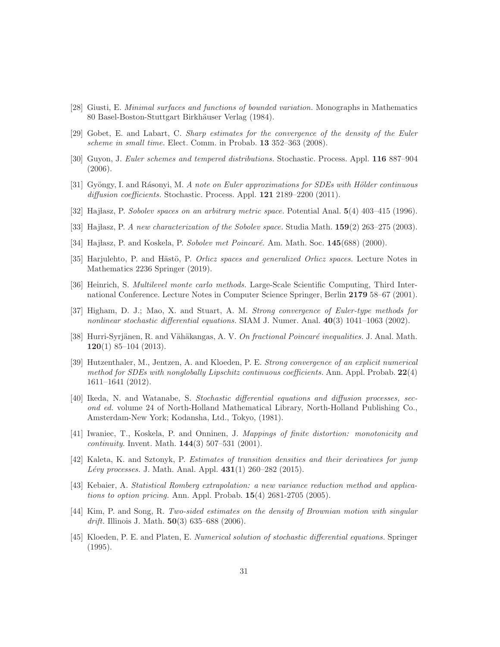- <span id="page-30-11"></span><span id="page-30-1"></span>[28] Giusti, E. Minimal surfaces and functions of bounded variation. Monographs in Mathematics 80 Basel-Boston-Stuttgart Birkhäuser Verlag (1984).
- <span id="page-30-2"></span>[29] Gobet, E. and Labart, C. Sharp estimates for the convergence of the density of the Euler scheme in small time. Elect. Comm. in Probab. 13 352–363 (2008).
- <span id="page-30-3"></span>[30] Guyon, J. Euler schemes and tempered distributions. Stochastic. Process. Appl. 116 887–904 (2006).
- [31] Gyöngy, I. and Rásonyi, M. A note on Euler approximations for SDEs with Hölder continuous diffusion coefficients. Stochastic. Process. Appl. **121** 2189–2200 (2011).
- <span id="page-30-10"></span><span id="page-30-9"></span>[32] Hajłasz, P. Sobolev spaces on an arbitrary metric space. Potential Anal.  $5(4)$  403-415 (1996).
- <span id="page-30-14"></span>[33] Hajlasz, P. A new characterization of the Sobolev space. Studia Math.  $159(2)$  263–275 (2003).
- <span id="page-30-12"></span>[34] Hajlasz, P. and Koskela, P. Sobolev met Poincaré. Am. Math. Soc.  $145(688)$  (2000).
- [35] Harjulehto, P. and Hästö, P. Orlicz spaces and generalized Orlicz spaces. Lecture Notes in Mathematics 2236 Springer (2019).
- <span id="page-30-6"></span>[36] Heinrich, S. Multilevel monte carlo methods. Large-Scale Scientific Computing, Third International Conference. Lecture Notes in Computer Science Springer, Berlin 2179 58–67 (2001).
- <span id="page-30-4"></span>[37] Higham, D. J.; Mao, X. and Stuart, A. M. Strong convergence of Euler-type methods for nonlinear stochastic differential equations. SIAM J. Numer. Anal.  $40(3)$  1041–1063 (2002).
- [38] Hurri-Syrjänen, R. and Vähäkangas, A. V. On fractional Poincaré inequalities. J. Anal. Math.  $120(1)$  85–104 (2013).
- <span id="page-30-5"></span>[39] Hutzenthaler, M., Jentzen, A. and Kloeden, P. E. Strong convergence of an explicit numerical method for SDEs with nonglobally Lipschitz continuous coefficients. Ann. Appl. Probab. 22(4) 1611–1641 (2012).
- <span id="page-30-8"></span>[40] Ikeda, N. and Watanabe, S. Stochastic differential equations and diffusion processes, second ed. volume 24 of North-Holland Mathematical Library, North-Holland Publishing Co., Amsterdam-New York; Kodansha, Ltd., Tokyo, (1981).
- <span id="page-30-13"></span>[41] Iwaniec, T., Koskela, P. and Onninen, J. Mappings of finite distortion: monotonicity and *continuity.* Invent. Math.  $144(3)$  507–531 (2001).
- <span id="page-30-16"></span>[42] Kaleta, K. and Sztonyk, P. Estimates of transition densities and their derivatives for jump *Lévy processes.* J. Math. Anal. Appl.  $431(1)$  260–282 (2015).
- <span id="page-30-7"></span>[43] Kebaier, A. Statistical Romberg extrapolation: a new variance reduction method and applications to option pricing. Ann. Appl. Probab.  $15(4)$  2681-2705 (2005).
- <span id="page-30-15"></span>[44] Kim, P. and Song, R. Two-sided estimates on the density of Brownian motion with singular drift. Illinois J. Math.  $50(3)$  635–688 (2006).
- <span id="page-30-0"></span>[45] Kloeden, P. E. and Platen, E. Numerical solution of stochastic differential equations. Springer (1995).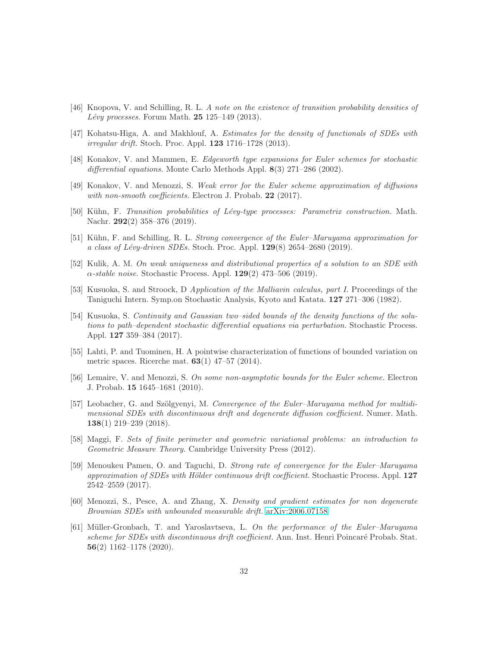- <span id="page-31-12"></span>[46] Knopova, V. and Schilling, R. L. A note on the existence of transition probability densities of Lévy processes. Forum Math.  $25$  125–149 (2013).
- <span id="page-31-9"></span><span id="page-31-0"></span>[47] Kohatsu-Higa, A. and Makhlouf, A. Estimates for the density of functionals of SDEs with irregular drift. Stoch. Proc. Appl. 123 1716–1728 (2013).
- [48] Konakov, V. and Mammen, E. Edgeworth type expansions for Euler schemes for stochastic differential equations. Monte Carlo Methods Appl. 8(3) 271–286 (2002).
- <span id="page-31-1"></span>[49] Konakov, V. and Menozzi, S. Weak error for the Euler scheme approximation of diffusions with non-smooth coefficients. Electron J. Probab. 22 (2017).
- <span id="page-31-14"></span><span id="page-31-13"></span>[50] Kühn, F. Transition probabilities of Lévy-type processes: Parametrix construction. Math. Nachr. 292(2) 358–376 (2019).
- [51] Kühn, F. and Schilling, R. L. Strong convergence of the Euler–Maruyama approximation for a class of Lévy-driven SDEs. Stoch. Proc. Appl.  $129(8)$  2654–2680 (2019).
- <span id="page-31-11"></span>[52] Kulik, A. M. On weak uniqueness and distributional properties of a solution to an SDE with  $\alpha$ -stable noise. Stochastic Process. Appl. 129(2) 473–506 (2019).
- <span id="page-31-10"></span><span id="page-31-7"></span>[53] Kusuoka, S. and Stroock, D Application of the Malliavin calculus, part I. Proceedings of the Taniguchi Intern. Symp.on Stochastic Analysis, Kyoto and Katata. 127 271–306 (1982).
- [54] Kusuoka, S. Continuity and Gaussian two–sided bounds of the density functions of the solutions to path–dependent stochastic differential equations via perturbation. Stochastic Process. Appl. 127 359–384 (2017).
- <span id="page-31-5"></span>[55] Lahti, P. and Tuominen, H. A pointwise characterization of functions of bounded variation on metric spaces. Ricerche mat. 63(1) 47–57 (2014).
- <span id="page-31-6"></span>[56] Lemaire, V. and Menozzi, S. On some non-asymptotic bounds for the Euler scheme. Electron J. Probab. 15 1645–1681 (2010).
- <span id="page-31-2"></span>[57] Leobacher, G. and Szölgyenyi, M. Convergence of the Euler–Maruyama method for multidimensional SDEs with discontinuous drift and degenerate diffusion coefficient. Numer. Math. 138(1) 219–239 (2018).
- [58] Maggi, F. Sets of finite perimeter and geometric variational problems: an introduction to Geometric Measure Theory. Cambridge University Press (2012).
- <span id="page-31-3"></span>[59] Menoukeu Pamen, O. and Taguchi, D. Strong rate of convergence for the Euler–Maruyama approximation of SDEs with Hölder continuous drift coefficient. Stochastic Process. Appl.  $127$ 2542–2559 (2017).
- <span id="page-31-8"></span>[60] Menozzi, S., Pesce, A. and Zhang, X. Density and gradient estimates for non degenerate Brownian SDEs with unbounded measurable drift. [arXiv:2006.07158.](http://arxiv.org/abs/2006.07158)
- <span id="page-31-4"></span>[61] Müller-Gronbach, T. and Yaroslavtseva, L. On the performance of the Euler–Maruyama scheme for SDEs with discontinuous drift coefficient. Ann. Inst. Henri Poincaré Probab. Stat. 56(2) 1162–1178 (2020).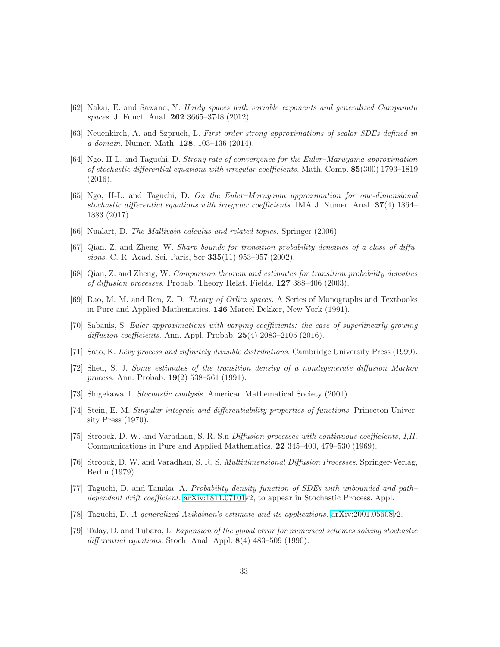- <span id="page-32-7"></span>[62] Nakai, E. and Sawano, Y. Hardy spaces with variable exponents and generalized Campanato spaces. J. Funct. Anal. **262** 3665-3748 (2012).
- <span id="page-32-4"></span><span id="page-32-1"></span>[63] Neuenkirch, A. and Szpruch, L. First order strong approximations of scalar SDEs defined in a domain. Numer. Math. 128, 103–136 (2014).
- [64] Ngo, H-L. and Taguchi, D. Strong rate of convergence for the Euler–Maruyama approximation of stochastic differential equations with irregular coefficients. Math. Comp. 85(300) 1793–1819 (2016).
- <span id="page-32-2"></span>[65] Ngo, H-L. and Taguchi, D. On the Euler–Maruyama approximation for one-dimensional stochastic differential equations with irregular coefficients. IMA J. Numer. Anal.  $37(4)$  1864– 1883 (2017).
- <span id="page-32-13"></span>[66] Nualart, D. The Mallivain calculus and related topics. Springer (2006).
- [67] Qian, Z. and Zheng, W. Sharp bounds for transition probability densities of a class of diffusions. C. R. Acad. Sci. Paris, Ser 335(11) 953–957 (2002).
- <span id="page-32-14"></span><span id="page-32-6"></span>[68] Qian, Z. and Zheng, W. Comparison theorem and estimates for transition probability densities of diffusion processes. Probab. Theory Relat. Fields. 127 388–406 (2003).
- [69] Rao, M. M. and Ren, Z. D. Theory of Orlicz spaces. A Series of Monographs and Textbooks in Pure and Applied Mathematics. 146 Marcel Dekker, New York (1991).
- <span id="page-32-5"></span>[70] Sabanis, S. Euler approximations with varying coefficients: the case of superlinearly growing diffusion coefficients. Ann. Appl. Probab. 25(4) 2083–2105 (2016).
- <span id="page-32-12"></span><span id="page-32-9"></span>[71] Sato, K. Lévy process and infinitely divisible distributions. Cambridge University Press (1999).
- [72] Sheu, S. J. Some estimates of the transition density of a nondegenerate diffusion Markov process. Ann. Probab. 19(2) 538–561 (1991).
- <span id="page-32-16"></span><span id="page-32-8"></span>[73] Shigekawa, I. Stochastic analysis. American Mathematical Society (2004).
- [74] Stein, E. M. Singular integrals and differentiability properties of functions. Princeton University Press (1970).
- <span id="page-32-10"></span>[75] Stroock, D. W. and Varadhan, S. R. S.n Diffusion processes with continuous coefficients, I,II. Communications in Pure and Applied Mathematics, 22 345–400, 479–530 (1969).
- <span id="page-32-11"></span>[76] Stroock, D. W. and Varadhan, S. R. S. Multidimensional Diffusion Processes. Springer-Verlag, Berlin (1979).
- <span id="page-32-15"></span>[77] Taguchi, D. and Tanaka, A. Probability density function of SDEs with unbounded and path– dependent drift coefficient. [arXiv:1811.07101v](http://arxiv.org/abs/1811.07101)2, to appear in Stochastic Process. Appl.
- <span id="page-32-3"></span><span id="page-32-0"></span>[78] Taguchi, D. A generalized Avikainen's estimate and its applications. [arXiv:2001.05608v](http://arxiv.org/abs/2001.05608)2.
- [79] Talay, D. and Tubaro, L. Expansion of the global error for numerical schemes solving stochastic differential equations. Stoch. Anal. Appl.  $8(4)$  483–509 (1990).